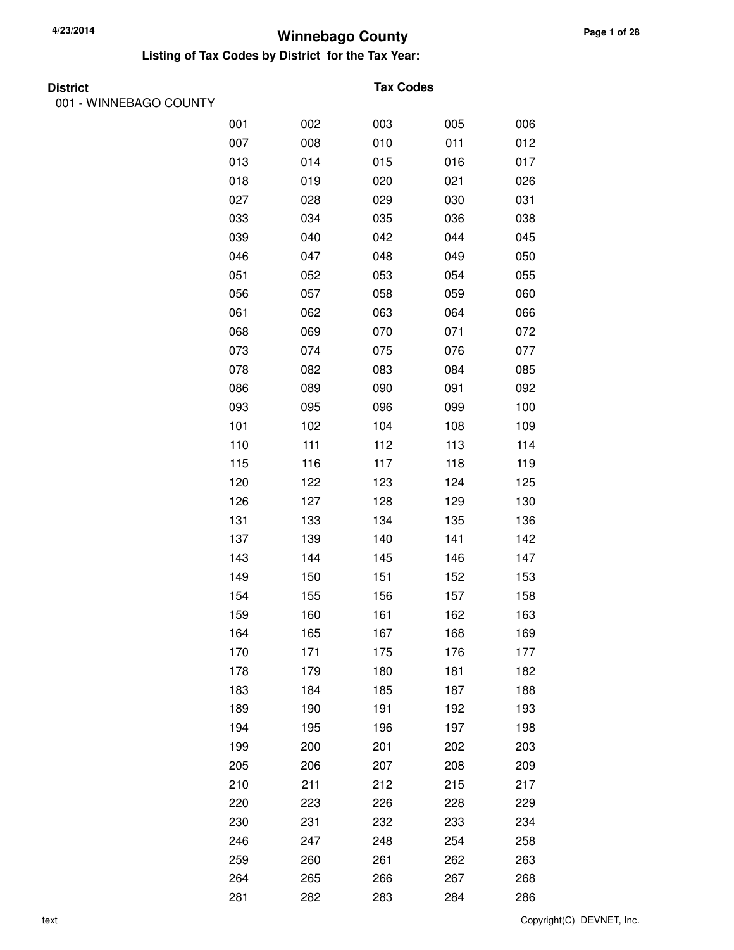#### **Listing of Tax Codes by District for the Tax Year:**

| <b>District</b> |  |
|-----------------|--|
|                 |  |

001 - WINNEBAGO COUNTY

#### **Tax Codes**

| 001 | 002 | 003 | 005 | 006 |
|-----|-----|-----|-----|-----|
| 007 | 008 | 010 | 011 | 012 |
| 013 | 014 | 015 | 016 | 017 |
| 018 | 019 | 020 | 021 | 026 |
| 027 | 028 | 029 | 030 | 031 |
| 033 | 034 | 035 | 036 | 038 |
| 039 | 040 | 042 | 044 | 045 |
| 046 | 047 | 048 | 049 | 050 |
| 051 | 052 | 053 | 054 | 055 |
| 056 | 057 | 058 | 059 | 060 |
| 061 | 062 | 063 | 064 | 066 |
| 068 | 069 | 070 | 071 | 072 |
| 073 | 074 | 075 | 076 | 077 |
| 078 | 082 | 083 | 084 | 085 |
| 086 | 089 | 090 | 091 | 092 |
| 093 | 095 | 096 | 099 | 100 |
| 101 | 102 | 104 | 108 | 109 |
| 110 | 111 | 112 | 113 | 114 |
| 115 | 116 | 117 | 118 | 119 |
| 120 | 122 | 123 | 124 | 125 |
| 126 | 127 | 128 | 129 | 130 |
| 131 | 133 | 134 | 135 | 136 |
| 137 | 139 | 140 | 141 | 142 |
| 143 | 144 | 145 | 146 | 147 |
| 149 | 150 | 151 | 152 | 153 |
| 154 | 155 | 156 | 157 | 158 |
| 159 | 160 | 161 | 162 | 163 |
| 164 | 165 | 167 | 168 | 169 |
| 170 | 171 | 175 | 176 | 177 |
| 178 | 179 | 180 | 181 | 182 |
| 183 | 184 | 185 | 187 | 188 |
| 189 | 190 | 191 | 192 | 193 |
| 194 | 195 | 196 | 197 | 198 |
| 199 | 200 | 201 | 202 | 203 |
| 205 | 206 | 207 | 208 | 209 |
| 210 | 211 | 212 | 215 | 217 |
| 220 | 223 | 226 | 228 | 229 |
| 230 | 231 | 232 | 233 | 234 |
| 246 | 247 | 248 | 254 | 258 |
| 259 | 260 | 261 | 262 | 263 |
| 264 | 265 | 266 | 267 | 268 |
| 281 | 282 | 283 | 284 | 286 |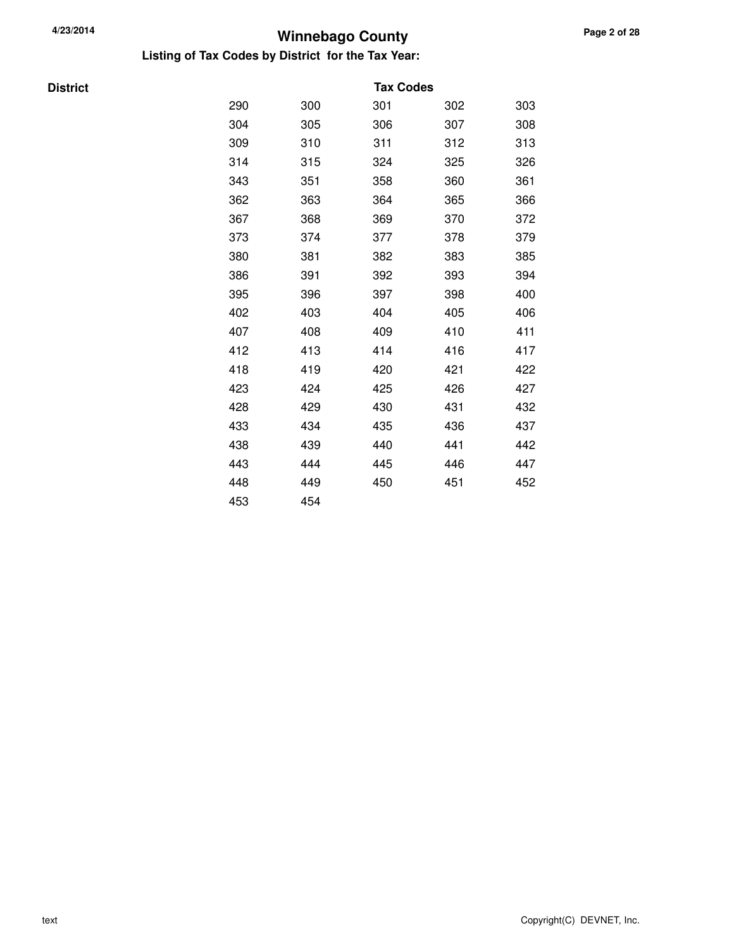**Listing of Tax Codes by District for the Tax Year:**

**District** 

|     |     | <b>Tax Codes</b> |     |     |
|-----|-----|------------------|-----|-----|
| 290 | 300 | 301              | 302 | 303 |
| 304 | 305 | 306              | 307 | 308 |
| 309 | 310 | 311              | 312 | 313 |
| 314 | 315 | 324              | 325 | 326 |
| 343 | 351 | 358              | 360 | 361 |
| 362 | 363 | 364              | 365 | 366 |
| 367 | 368 | 369              | 370 | 372 |
| 373 | 374 | 377              | 378 | 379 |
| 380 | 381 | 382              | 383 | 385 |
| 386 | 391 | 392              | 393 | 394 |
| 395 | 396 | 397              | 398 | 400 |
| 402 | 403 | 404              | 405 | 406 |
| 407 | 408 | 409              | 410 | 411 |
| 412 | 413 | 414              | 416 | 417 |
| 418 | 419 | 420              | 421 | 422 |
| 423 | 424 | 425              | 426 | 427 |
| 428 | 429 | 430              | 431 | 432 |
| 433 | 434 | 435              | 436 | 437 |
| 438 | 439 | 440              | 441 | 442 |
| 443 | 444 | 445              | 446 | 447 |
| 448 | 449 | 450              | 451 | 452 |
| 453 | 454 |                  |     |     |
|     |     |                  |     |     |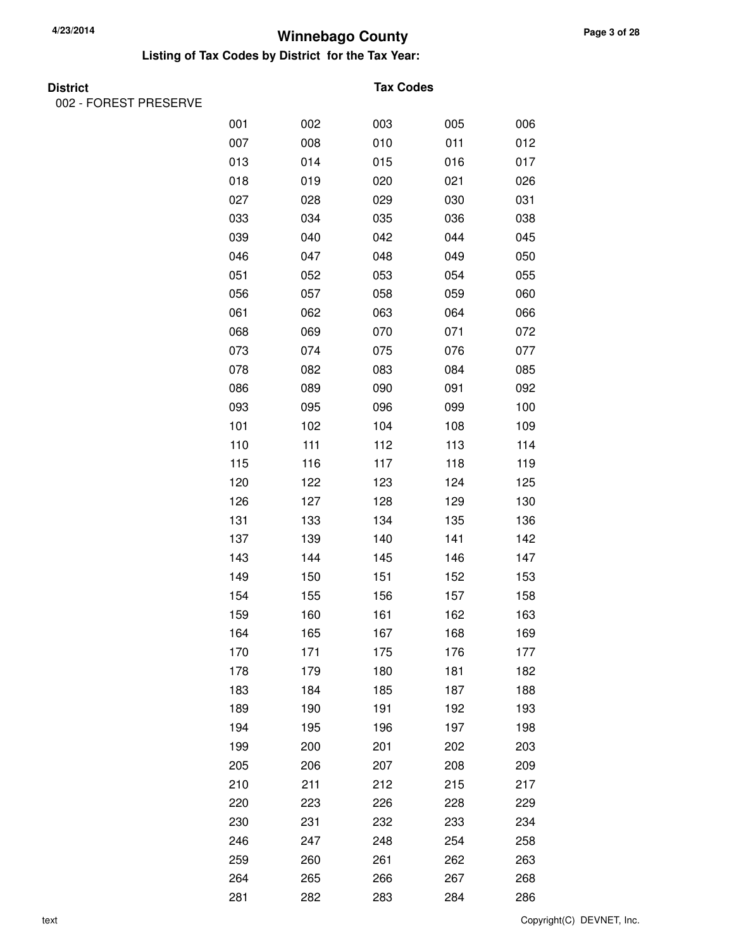#### **Listing of Tax Codes by District for the Tax Year:**

002 - FOREST PRESERVE

#### **Tax Codes**

| 001 | 002 | 003 | 005 | 006 |
|-----|-----|-----|-----|-----|
| 007 | 008 | 010 | 011 | 012 |
| 013 | 014 | 015 | 016 | 017 |
| 018 | 019 | 020 | 021 | 026 |
| 027 | 028 | 029 | 030 | 031 |
| 033 | 034 | 035 | 036 | 038 |
| 039 | 040 | 042 | 044 | 045 |
| 046 | 047 | 048 | 049 | 050 |
| 051 | 052 | 053 | 054 | 055 |
| 056 | 057 | 058 | 059 | 060 |
| 061 | 062 | 063 | 064 | 066 |
| 068 | 069 | 070 | 071 | 072 |
| 073 | 074 | 075 | 076 | 077 |
| 078 | 082 | 083 | 084 | 085 |
| 086 | 089 | 090 | 091 | 092 |
| 093 | 095 | 096 | 099 | 100 |
| 101 | 102 | 104 | 108 | 109 |
| 110 | 111 | 112 | 113 | 114 |
| 115 | 116 | 117 | 118 | 119 |
| 120 | 122 | 123 | 124 | 125 |
| 126 | 127 | 128 | 129 | 130 |
| 131 | 133 | 134 | 135 | 136 |
| 137 | 139 | 140 | 141 | 142 |
| 143 | 144 | 145 | 146 | 147 |
| 149 | 150 | 151 | 152 | 153 |
| 154 | 155 | 156 | 157 | 158 |
| 159 | 160 | 161 | 162 | 163 |
| 164 | 165 | 167 | 168 | 169 |
| 170 | 171 | 175 | 176 | 177 |
| 178 | 179 | 180 | 181 | 182 |
| 183 | 184 | 185 | 187 | 188 |
| 189 | 190 | 191 | 192 | 193 |
| 194 | 195 | 196 | 197 | 198 |
| 199 | 200 | 201 | 202 | 203 |
| 205 | 206 | 207 | 208 | 209 |
| 210 | 211 | 212 | 215 | 217 |
| 220 | 223 | 226 | 228 | 229 |
| 230 | 231 | 232 | 233 | 234 |
| 246 | 247 | 248 | 254 | 258 |
| 259 | 260 | 261 | 262 | 263 |
| 264 | 265 | 266 | 267 | 268 |
| 281 | 282 | 283 | 284 | 286 |

text Copyright(C) DEVNET, Inc.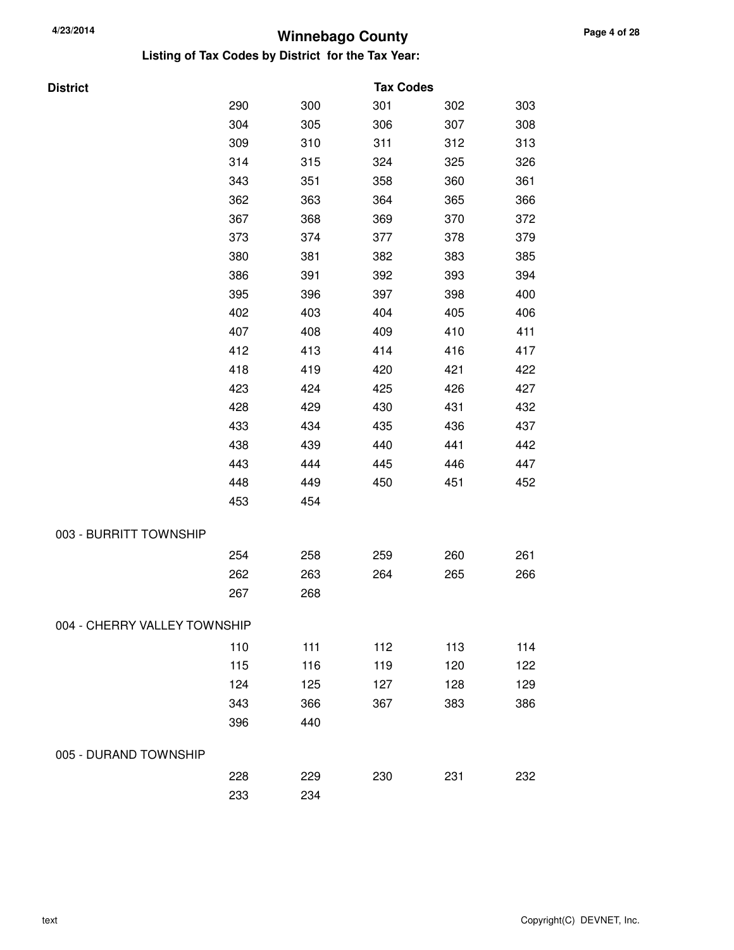**Listing of Tax Codes by District for the Tax Year:**

| <b>District</b>              |     |     | <b>Tax Codes</b> |     |     |
|------------------------------|-----|-----|------------------|-----|-----|
|                              | 290 | 300 | 301              | 302 | 303 |
|                              | 304 | 305 | 306              | 307 | 308 |
|                              | 309 | 310 | 311              | 312 | 313 |
|                              | 314 | 315 | 324              | 325 | 326 |
|                              | 343 | 351 | 358              | 360 | 361 |
|                              | 362 | 363 | 364              | 365 | 366 |
|                              | 367 | 368 | 369              | 370 | 372 |
|                              | 373 | 374 | 377              | 378 | 379 |
|                              | 380 | 381 | 382              | 383 | 385 |
|                              | 386 | 391 | 392              | 393 | 394 |
|                              | 395 | 396 | 397              | 398 | 400 |
|                              | 402 | 403 | 404              | 405 | 406 |
|                              | 407 | 408 | 409              | 410 | 411 |
|                              | 412 | 413 | 414              | 416 | 417 |
|                              | 418 | 419 | 420              | 421 | 422 |
|                              | 423 | 424 | 425              | 426 | 427 |
|                              | 428 | 429 | 430              | 431 | 432 |
|                              | 433 | 434 | 435              | 436 | 437 |
|                              | 438 | 439 | 440              | 441 | 442 |
|                              | 443 | 444 | 445              | 446 | 447 |
|                              | 448 | 449 | 450              | 451 | 452 |
|                              | 453 | 454 |                  |     |     |
| 003 - BURRITT TOWNSHIP       |     |     |                  |     |     |
|                              | 254 | 258 | 259              | 260 | 261 |
|                              | 262 | 263 | 264              | 265 | 266 |
|                              | 267 | 268 |                  |     |     |
| 004 - CHERRY VALLEY TOWNSHIP |     |     |                  |     |     |
|                              | 110 | 111 | 112              | 113 | 114 |
|                              | 115 | 116 | 119              | 120 | 122 |
|                              | 124 | 125 | 127              | 128 | 129 |
|                              | 343 | 366 | 367              | 383 | 386 |
|                              | 396 | 440 |                  |     |     |
|                              |     |     |                  |     |     |

228 229 230 231 232

233 234

#### 005 - DURAND TOWNSHIP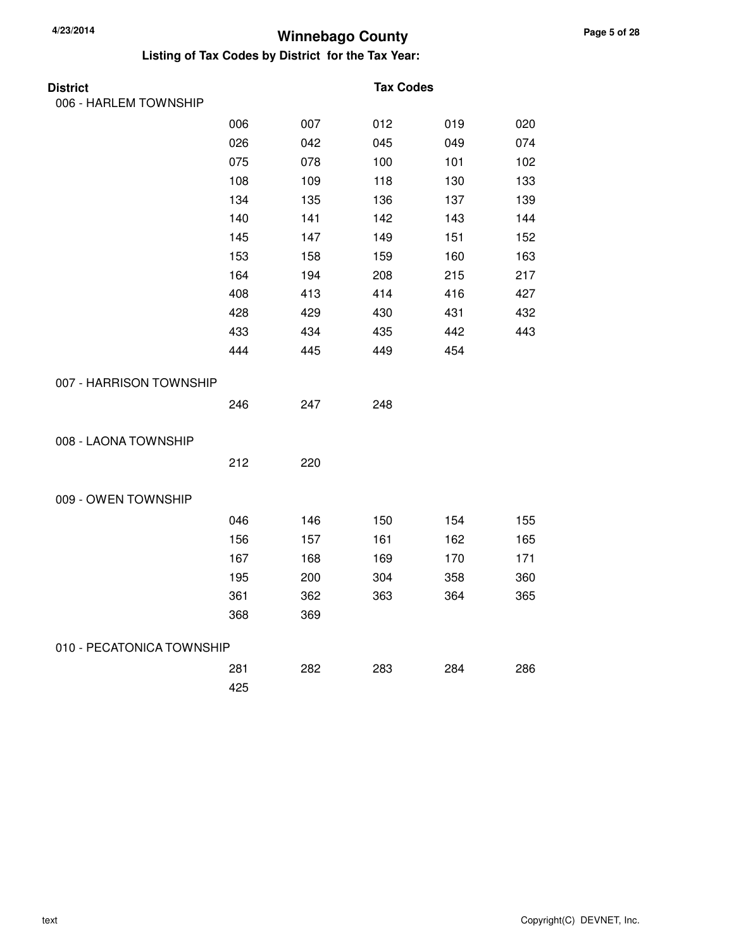| <b>District</b>           |     |     | <b>Tax Codes</b> |     |     |
|---------------------------|-----|-----|------------------|-----|-----|
| 006 - HARLEM TOWNSHIP     |     |     |                  |     |     |
|                           | 006 | 007 | 012              | 019 | 020 |
|                           | 026 | 042 | 045              | 049 | 074 |
|                           | 075 | 078 | 100              | 101 | 102 |
|                           | 108 | 109 | 118              | 130 | 133 |
|                           | 134 | 135 | 136              | 137 | 139 |
|                           | 140 | 141 | 142              | 143 | 144 |
|                           | 145 | 147 | 149              | 151 | 152 |
|                           | 153 | 158 | 159              | 160 | 163 |
|                           | 164 | 194 | 208              | 215 | 217 |
|                           | 408 | 413 | 414              | 416 | 427 |
|                           | 428 | 429 | 430              | 431 | 432 |
|                           | 433 | 434 | 435              | 442 | 443 |
|                           | 444 | 445 | 449              | 454 |     |
| 007 - HARRISON TOWNSHIP   |     |     |                  |     |     |
|                           | 246 | 247 | 248              |     |     |
| 008 - LAONA TOWNSHIP      |     |     |                  |     |     |
|                           | 212 | 220 |                  |     |     |
| 009 - OWEN TOWNSHIP       |     |     |                  |     |     |
|                           | 046 | 146 | 150              | 154 | 155 |
|                           | 156 | 157 | 161              | 162 | 165 |
|                           | 167 | 168 | 169              | 170 | 171 |
|                           | 195 | 200 | 304              | 358 | 360 |
|                           | 361 | 362 | 363              | 364 | 365 |
|                           | 368 | 369 |                  |     |     |
| 010 - PECATONICA TOWNSHIP |     |     |                  |     |     |
|                           | 281 | 282 | 283              | 284 | 286 |
|                           | 425 |     |                  |     |     |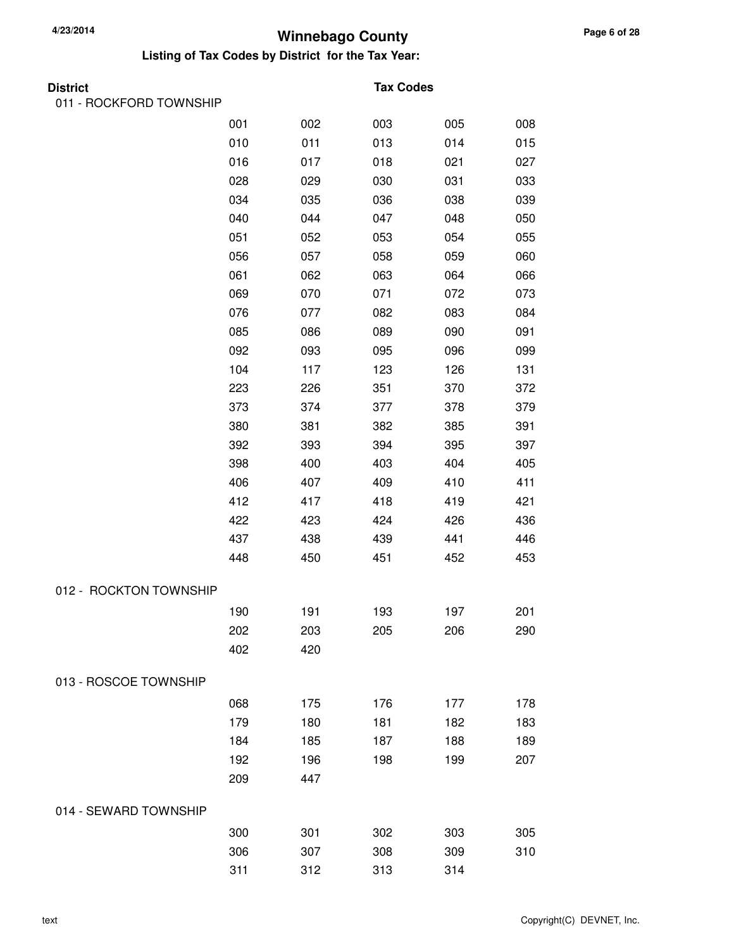| <b>District</b>         |     |     | <b>Tax Codes</b> |     |     |
|-------------------------|-----|-----|------------------|-----|-----|
| 011 - ROCKFORD TOWNSHIP |     |     |                  |     |     |
|                         | 001 | 002 | 003              | 005 | 008 |
|                         | 010 | 011 | 013              | 014 | 015 |
|                         | 016 | 017 | 018              | 021 | 027 |
|                         | 028 | 029 | 030              | 031 | 033 |
|                         | 034 | 035 | 036              | 038 | 039 |
|                         | 040 | 044 | 047              | 048 | 050 |
|                         | 051 | 052 | 053              | 054 | 055 |
|                         | 056 | 057 | 058              | 059 | 060 |
|                         | 061 | 062 | 063              | 064 | 066 |
|                         | 069 | 070 | 071              | 072 | 073 |
|                         | 076 | 077 | 082              | 083 | 084 |
|                         | 085 | 086 | 089              | 090 | 091 |
|                         | 092 | 093 | 095              | 096 | 099 |
|                         | 104 | 117 | 123              | 126 | 131 |
|                         | 223 | 226 | 351              | 370 | 372 |
|                         | 373 | 374 | 377              | 378 | 379 |
|                         | 380 | 381 | 382              | 385 | 391 |
|                         | 392 | 393 | 394              | 395 | 397 |
|                         | 398 | 400 | 403              | 404 | 405 |
|                         | 406 | 407 | 409              | 410 | 411 |
|                         | 412 | 417 | 418              | 419 | 421 |
|                         | 422 | 423 | 424              | 426 | 436 |
|                         | 437 | 438 | 439              | 441 | 446 |
|                         | 448 | 450 | 451              | 452 | 453 |
| 012 - ROCKTON TOWNSHIP  |     |     |                  |     |     |
|                         | 190 | 191 | 193              | 197 | 201 |
|                         | 202 | 203 | 205              | 206 | 290 |
|                         | 402 | 420 |                  |     |     |
| 013 - ROSCOE TOWNSHIP   |     |     |                  |     |     |
|                         | 068 | 175 | 176              | 177 | 178 |
|                         | 179 | 180 | 181              | 182 | 183 |
|                         | 184 | 185 | 187              | 188 | 189 |
|                         | 192 | 196 | 198              | 199 | 207 |
|                         | 209 | 447 |                  |     |     |
| 014 - SEWARD TOWNSHIP   |     |     |                  |     |     |
|                         | 300 | 301 | 302              | 303 | 305 |
|                         | 306 | 307 | 308              | 309 | 310 |
|                         | 311 | 312 | 313              | 314 |     |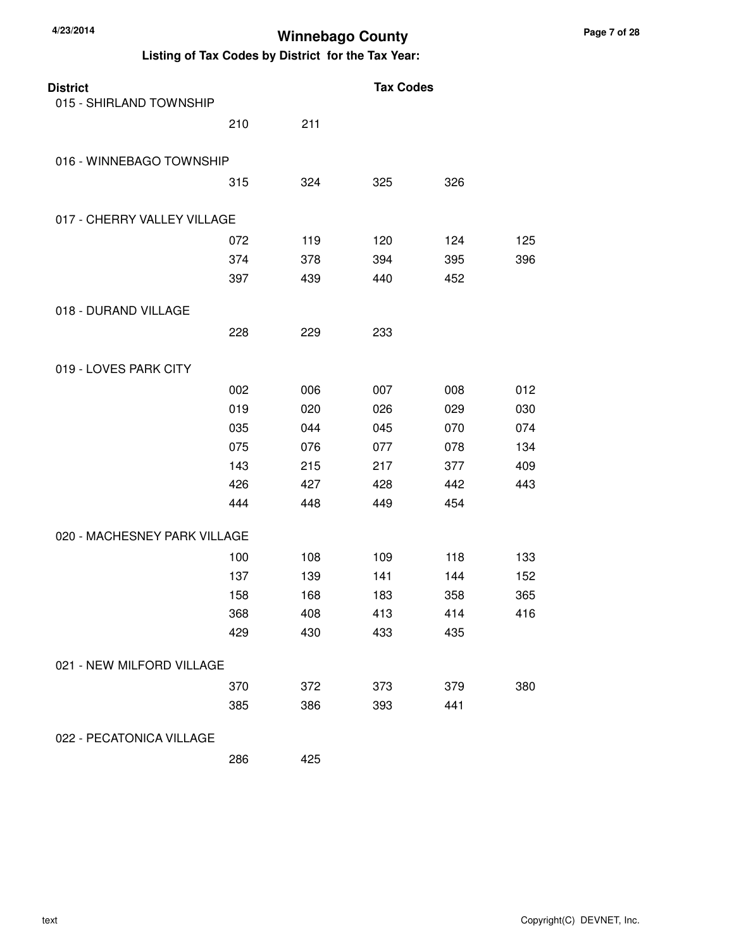#### **Listing of Tax Codes by District for the Tax Year:**

| <b>District</b>              |     |     | <b>Tax Codes</b> |     |     |
|------------------------------|-----|-----|------------------|-----|-----|
| 015 - SHIRLAND TOWNSHIP      |     |     |                  |     |     |
|                              | 210 | 211 |                  |     |     |
| 016 - WINNEBAGO TOWNSHIP     |     |     |                  |     |     |
|                              | 315 | 324 | 325              | 326 |     |
| 017 - CHERRY VALLEY VILLAGE  |     |     |                  |     |     |
|                              | 072 | 119 | 120              | 124 | 125 |
|                              | 374 | 378 | 394              | 395 | 396 |
|                              | 397 | 439 | 440              | 452 |     |
| 018 - DURAND VILLAGE         |     |     |                  |     |     |
|                              | 228 | 229 | 233              |     |     |
| 019 - LOVES PARK CITY        |     |     |                  |     |     |
|                              | 002 | 006 | 007              | 008 | 012 |
|                              | 019 | 020 | 026              | 029 | 030 |
|                              | 035 | 044 | 045              | 070 | 074 |
|                              | 075 | 076 | 077              | 078 | 134 |
|                              | 143 | 215 | 217              | 377 | 409 |
|                              | 426 | 427 | 428              | 442 | 443 |
|                              | 444 | 448 | 449              | 454 |     |
| 020 - MACHESNEY PARK VILLAGE |     |     |                  |     |     |
|                              | 100 | 108 | 109              | 118 | 133 |
|                              | 137 | 139 | 141              | 144 | 152 |
|                              | 158 | 168 | 183              | 358 | 365 |
|                              | 368 | 408 | 413              | 414 | 416 |
|                              | 429 | 430 | 433              | 435 |     |
| 021 - NEW MILFORD VILLAGE    |     |     |                  |     |     |
|                              | 370 | 372 | 373              | 379 | 380 |
|                              | 385 | 386 | 393              | 441 |     |
|                              |     |     |                  |     |     |

022 - PECATONICA VILLAGE

286 425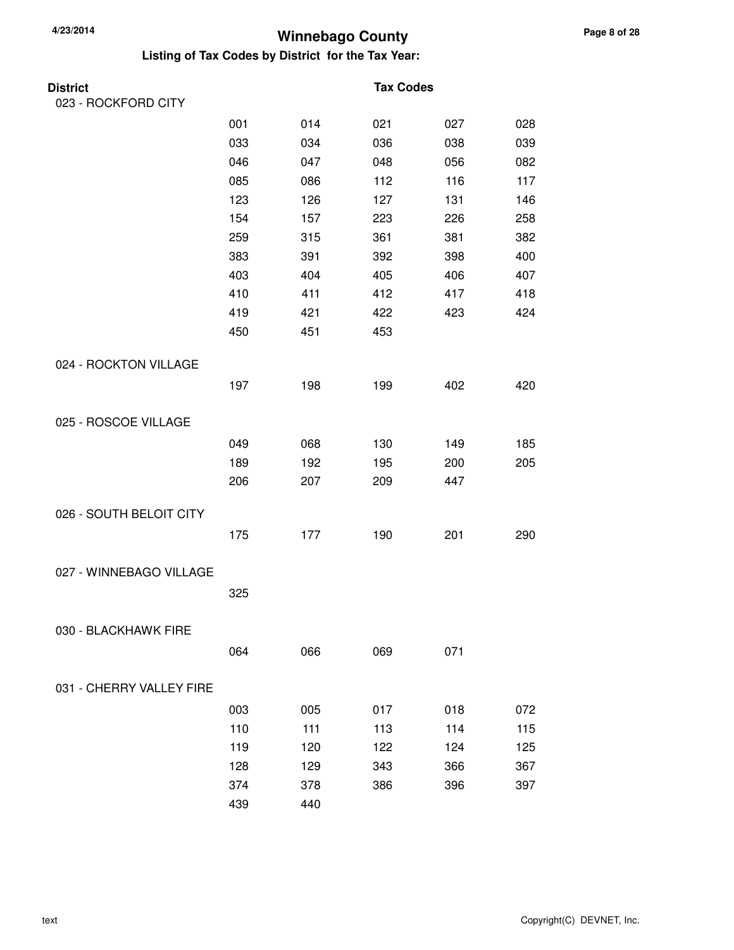| District                 |     |     | <b>Tax Codes</b> |     |     |
|--------------------------|-----|-----|------------------|-----|-----|
| 023 - ROCKFORD CITY      |     |     |                  |     |     |
|                          | 001 | 014 | 021              | 027 | 028 |
|                          | 033 | 034 | 036              | 038 | 039 |
|                          | 046 | 047 | 048              | 056 | 082 |
|                          | 085 | 086 | 112              | 116 | 117 |
|                          | 123 | 126 | 127              | 131 | 146 |
|                          | 154 | 157 | 223              | 226 | 258 |
|                          | 259 | 315 | 361              | 381 | 382 |
|                          | 383 | 391 | 392              | 398 | 400 |
|                          | 403 | 404 | 405              | 406 | 407 |
|                          | 410 | 411 | 412              | 417 | 418 |
|                          | 419 | 421 | 422              | 423 | 424 |
|                          | 450 | 451 | 453              |     |     |
| 024 - ROCKTON VILLAGE    |     |     |                  |     |     |
|                          | 197 | 198 | 199              | 402 | 420 |
| 025 - ROSCOE VILLAGE     |     |     |                  |     |     |
|                          | 049 | 068 | 130              | 149 | 185 |
|                          | 189 | 192 | 195              | 200 | 205 |
|                          | 206 | 207 | 209              | 447 |     |
| 026 - SOUTH BELOIT CITY  |     |     |                  |     |     |
|                          | 175 | 177 | 190              | 201 | 290 |
| 027 - WINNEBAGO VILLAGE  |     |     |                  |     |     |
|                          | 325 |     |                  |     |     |
| 030 - BLACKHAWK FIRE     |     |     |                  |     |     |
|                          | 064 | 066 | 069              | 071 |     |
| 031 - CHERRY VALLEY FIRE |     |     |                  |     |     |
|                          | 003 | 005 | 017              | 018 | 072 |
|                          | 110 | 111 | 113              | 114 | 115 |
|                          | 119 | 120 | 122              | 124 | 125 |
|                          | 128 | 129 | 343              | 366 | 367 |
|                          | 374 | 378 | 386              | 396 | 397 |
|                          | 439 | 440 |                  |     |     |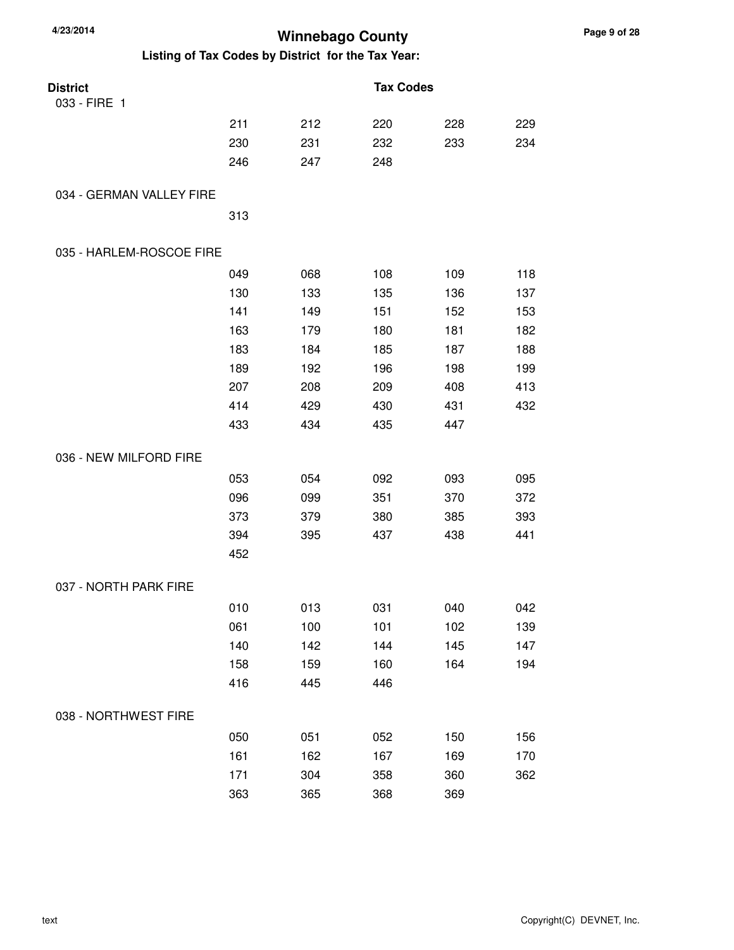| 4/23/2014                |                                                    | <b>Winnebago County</b> |                  |     |     |
|--------------------------|----------------------------------------------------|-------------------------|------------------|-----|-----|
|                          | Listing of Tax Codes by District for the Tax Year: |                         |                  |     |     |
| <b>District</b>          |                                                    |                         | <b>Tax Codes</b> |     |     |
| 033 - FIRE 1             |                                                    |                         |                  |     |     |
|                          | 211                                                | 212                     | 220              | 228 | 229 |
|                          | 230                                                | 231                     | 232              | 233 | 234 |
|                          | 246                                                | 247                     | 248              |     |     |
| 034 - GERMAN VALLEY FIRE |                                                    |                         |                  |     |     |
|                          | 313                                                |                         |                  |     |     |
| 035 - HARLEM-ROSCOE FIRE |                                                    |                         |                  |     |     |
|                          | 049                                                | 068                     | 108              | 109 | 118 |
|                          | 130                                                | 133                     | 135              | 136 | 137 |
|                          | 141                                                | 149                     | 151              | 152 | 153 |
|                          | 163                                                | 179                     | 180              | 181 | 182 |
|                          | 183                                                | 184                     | 185              | 187 | 188 |
|                          | 189                                                | 192                     | 196              | 198 | 199 |
|                          | 207                                                | 208                     | 209              | 408 | 413 |
|                          | 414                                                | 429                     | 430              | 431 | 432 |
|                          | 433                                                | 434                     | 435              | 447 |     |
| 036 - NEW MILFORD FIRE   |                                                    |                         |                  |     |     |
|                          | 053                                                | 054                     | 092              | 093 | 095 |
|                          | 096                                                | 099                     | 351              | 370 | 372 |
|                          | 373                                                | 379                     | 380              | 385 | 393 |
|                          | 394                                                | 395                     | 437              | 438 | 441 |
|                          | 452                                                |                         |                  |     |     |
| 037 - NORTH PARK FIRE    |                                                    |                         |                  |     |     |
|                          | 010                                                | 013                     | 031              | 040 | 042 |
|                          | 061                                                | 100                     | 101              | 102 | 139 |
|                          | 140                                                | 142                     | 144              | 145 | 147 |
|                          | 158                                                | 159                     | 160              | 164 | 194 |
|                          | 416                                                | 445                     | 446              |     |     |
| 038 - NORTHWEST FIRE     |                                                    |                         |                  |     |     |
|                          | 050                                                | 051                     | 052              | 150 | 156 |
|                          | 161                                                | 162                     | 167              | 169 | 170 |
|                          | 171                                                | 304                     | 358              | 360 | 362 |
|                          | 363                                                | 365                     | 368              | 369 |     |

**4/23/2014**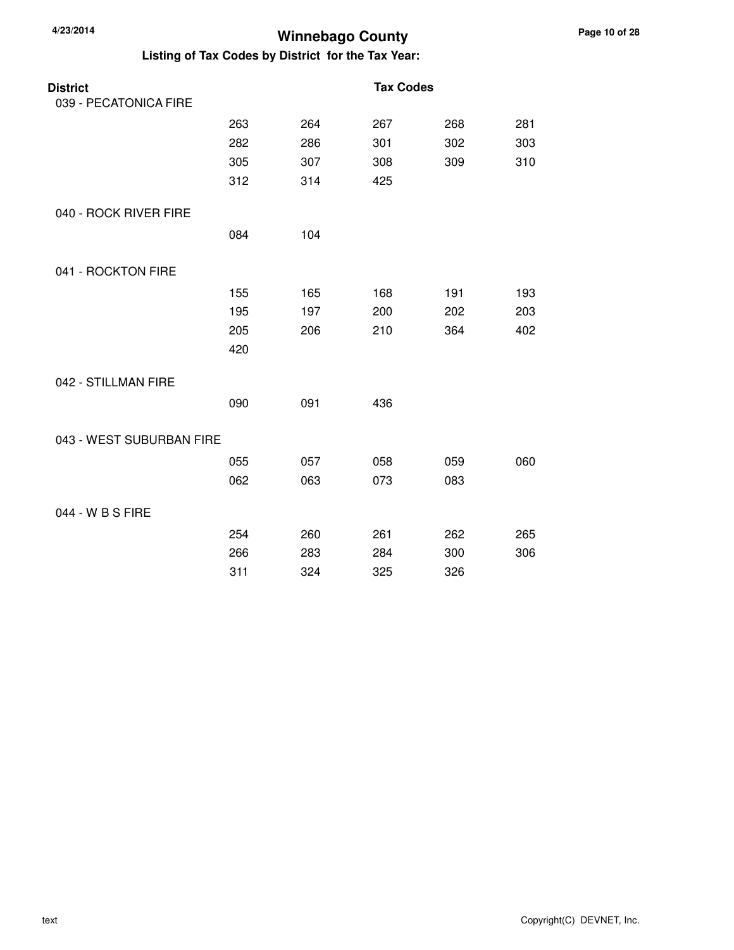| Listing of Tax Codes by District for the Tax Year: |     |     |                  |     |     |  |
|----------------------------------------------------|-----|-----|------------------|-----|-----|--|
| <b>District</b>                                    |     |     | <b>Tax Codes</b> |     |     |  |
| 039 - PECATONICA FIRE                              |     |     |                  |     |     |  |
|                                                    | 263 | 264 | 267              | 268 | 281 |  |
|                                                    | 282 | 286 | 301              | 302 | 303 |  |
|                                                    | 305 | 307 | 308              | 309 | 310 |  |
|                                                    | 312 | 314 | 425              |     |     |  |
| 040 - ROCK RIVER FIRE                              |     |     |                  |     |     |  |
|                                                    | 084 | 104 |                  |     |     |  |
| 041 - ROCKTON FIRE                                 |     |     |                  |     |     |  |
|                                                    | 155 | 165 | 168              | 191 | 193 |  |
|                                                    | 195 | 197 | 200              | 202 | 203 |  |
|                                                    | 205 | 206 | 210              | 364 | 402 |  |
|                                                    | 420 |     |                  |     |     |  |
| 042 - STILLMAN FIRE                                |     |     |                  |     |     |  |
|                                                    | 090 | 091 | 436              |     |     |  |
| 043 - WEST SUBURBAN FIRE                           |     |     |                  |     |     |  |
|                                                    | 055 | 057 | 058              | 059 | 060 |  |
|                                                    | 062 | 063 | 073              | 083 |     |  |
| 044 - W B S FIRE                                   |     |     |                  |     |     |  |
|                                                    | 254 | 260 | 261              | 262 | 265 |  |
|                                                    | 266 | 283 | 284              | 300 | 306 |  |
|                                                    | 311 | 324 | 325              | 326 |     |  |

**4/23/2014**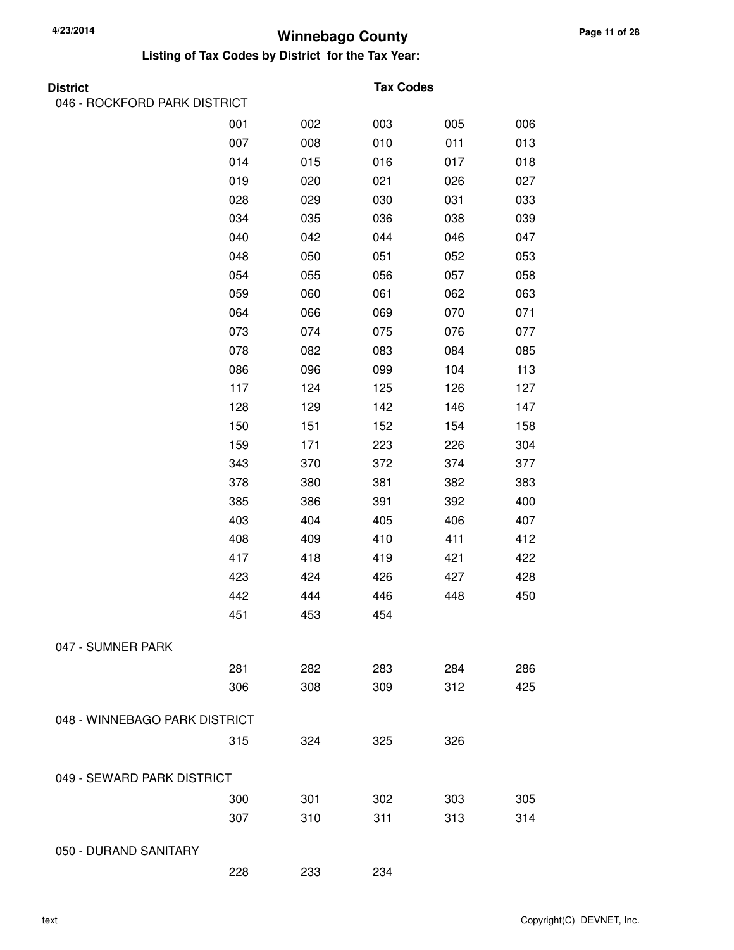| <b>District</b>               |     |     | <b>Tax Codes</b> |     |     |
|-------------------------------|-----|-----|------------------|-----|-----|
| 046 - ROCKFORD PARK DISTRICT  |     |     |                  |     |     |
|                               | 001 | 002 | 003              | 005 | 006 |
|                               | 007 | 008 | 010              | 011 | 013 |
|                               | 014 | 015 | 016              | 017 | 018 |
|                               | 019 | 020 | 021              | 026 | 027 |
|                               | 028 | 029 | 030              | 031 | 033 |
|                               | 034 | 035 | 036              | 038 | 039 |
|                               | 040 | 042 | 044              | 046 | 047 |
|                               | 048 | 050 | 051              | 052 | 053 |
|                               | 054 | 055 | 056              | 057 | 058 |
|                               | 059 | 060 | 061              | 062 | 063 |
|                               | 064 | 066 | 069              | 070 | 071 |
|                               | 073 | 074 | 075              | 076 | 077 |
|                               | 078 | 082 | 083              | 084 | 085 |
|                               | 086 | 096 | 099              | 104 | 113 |
|                               | 117 | 124 | 125              | 126 | 127 |
|                               | 128 | 129 | 142              | 146 | 147 |
|                               | 150 | 151 | 152              | 154 | 158 |
|                               | 159 | 171 | 223              | 226 | 304 |
|                               | 343 | 370 | 372              | 374 | 377 |
|                               | 378 | 380 | 381              | 382 | 383 |
|                               | 385 | 386 | 391              | 392 | 400 |
|                               | 403 | 404 | 405              | 406 | 407 |
|                               | 408 | 409 | 410              | 411 | 412 |
|                               | 417 | 418 | 419              | 421 | 422 |
|                               | 423 | 424 | 426              | 427 | 428 |
|                               | 442 | 444 | 446              | 448 | 450 |
|                               | 451 | 453 | 454              |     |     |
| 047 - SUMNER PARK             |     |     |                  |     |     |
|                               | 281 | 282 | 283              | 284 | 286 |
|                               | 306 | 308 | 309              | 312 | 425 |
| 048 - WINNEBAGO PARK DISTRICT |     |     |                  |     |     |
|                               | 315 | 324 | 325              | 326 |     |
| 049 - SEWARD PARK DISTRICT    |     |     |                  |     |     |
|                               | 300 | 301 | 302              | 303 | 305 |
|                               | 307 | 310 | 311              | 313 | 314 |
| 050 - DURAND SANITARY         |     |     |                  |     |     |
|                               | 228 | 233 | 234              |     |     |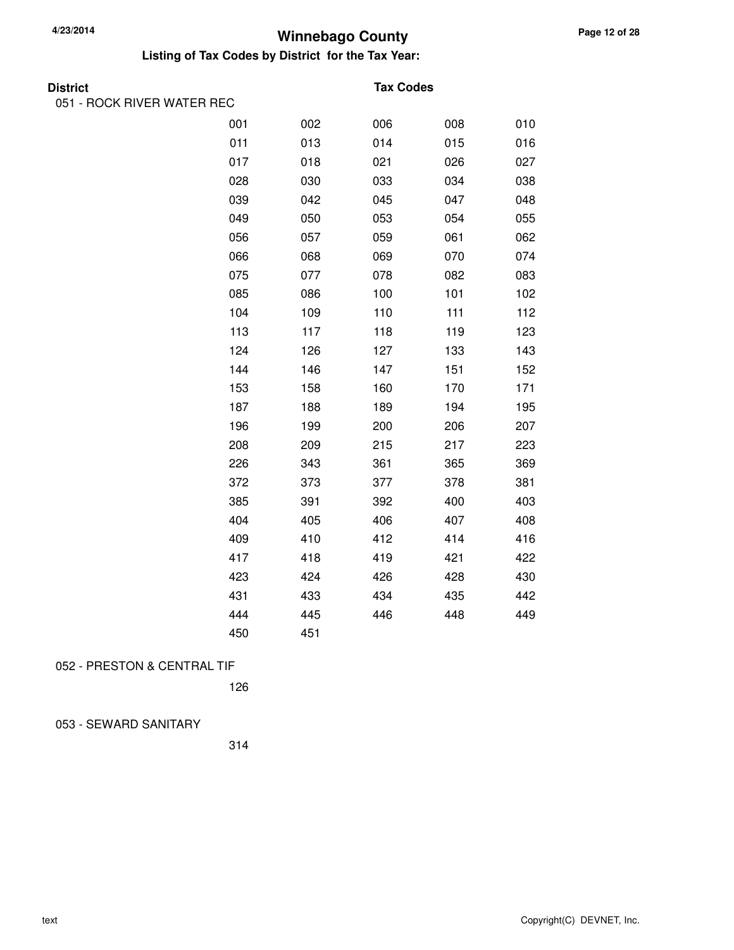#### **Listing of Tax Codes by District for the Tax Year:**

051 - ROCK RIVER WATER REC

#### **Tax Codes**

| ,,,,,,,,,,,,,,,,,,,,,, |     |     |     |     |     |
|------------------------|-----|-----|-----|-----|-----|
|                        | 001 | 002 | 006 | 008 | 010 |
|                        | 011 | 013 | 014 | 015 | 016 |
|                        | 017 | 018 | 021 | 026 | 027 |
|                        | 028 | 030 | 033 | 034 | 038 |
|                        | 039 | 042 | 045 | 047 | 048 |
|                        | 049 | 050 | 053 | 054 | 055 |
|                        | 056 | 057 | 059 | 061 | 062 |
|                        | 066 | 068 | 069 | 070 | 074 |
|                        | 075 | 077 | 078 | 082 | 083 |
|                        | 085 | 086 | 100 | 101 | 102 |
|                        | 104 | 109 | 110 | 111 | 112 |
|                        | 113 | 117 | 118 | 119 | 123 |
|                        | 124 | 126 | 127 | 133 | 143 |
|                        | 144 | 146 | 147 | 151 | 152 |
|                        | 153 | 158 | 160 | 170 | 171 |
|                        | 187 | 188 | 189 | 194 | 195 |
|                        | 196 | 199 | 200 | 206 | 207 |
|                        | 208 | 209 | 215 | 217 | 223 |
|                        | 226 | 343 | 361 | 365 | 369 |
|                        | 372 | 373 | 377 | 378 | 381 |
|                        | 385 | 391 | 392 | 400 | 403 |
|                        | 404 | 405 | 406 | 407 | 408 |
|                        | 409 | 410 | 412 | 414 | 416 |
|                        | 417 | 418 | 419 | 421 | 422 |
|                        | 423 | 424 | 426 | 428 | 430 |
|                        | 431 | 433 | 434 | 435 | 442 |
|                        | 444 | 445 | 446 | 448 | 449 |
|                        | 450 | 451 |     |     |     |

#### 052 - PRESTON & CENTRAL TIF

126

#### 053 - SEWARD SANITARY

314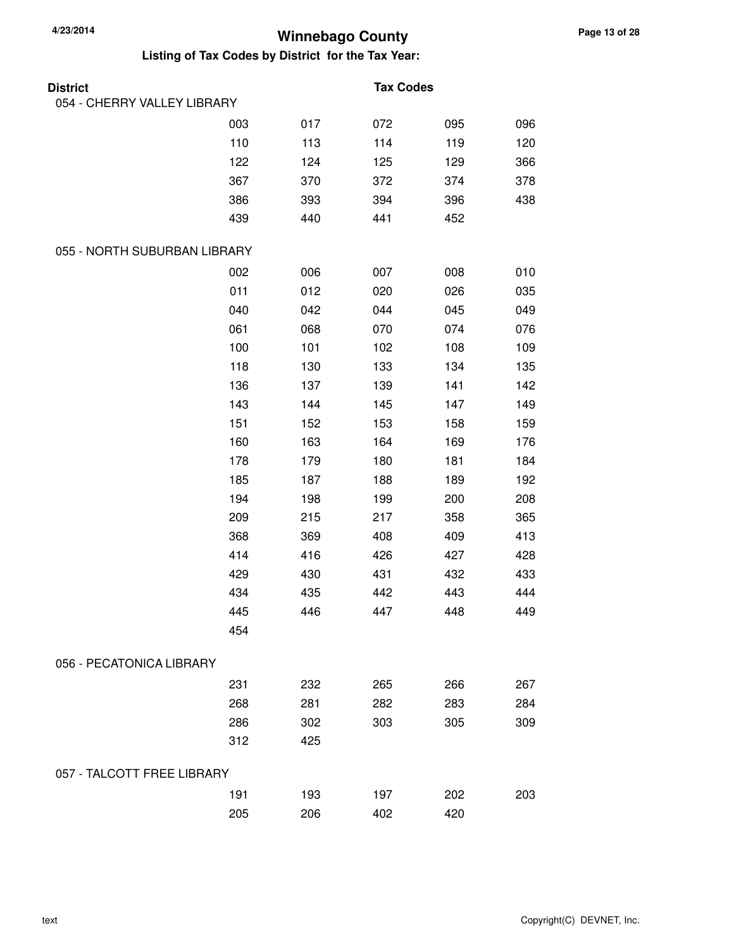| <b>District</b>              |     |     | <b>Tax Codes</b> |     |     |
|------------------------------|-----|-----|------------------|-----|-----|
| 054 - CHERRY VALLEY LIBRARY  |     |     |                  |     |     |
|                              | 003 | 017 | 072              | 095 | 096 |
|                              | 110 | 113 | 114              | 119 | 120 |
|                              | 122 | 124 | 125              | 129 | 366 |
|                              | 367 | 370 | 372              | 374 | 378 |
|                              | 386 | 393 | 394              | 396 | 438 |
|                              | 439 | 440 | 441              | 452 |     |
| 055 - NORTH SUBURBAN LIBRARY |     |     |                  |     |     |
|                              | 002 | 006 | 007              | 008 | 010 |
|                              | 011 | 012 | 020              | 026 | 035 |
|                              | 040 | 042 | 044              | 045 | 049 |
|                              | 061 | 068 | 070              | 074 | 076 |
|                              | 100 | 101 | 102              | 108 | 109 |
|                              | 118 | 130 | 133              | 134 | 135 |
|                              | 136 | 137 | 139              | 141 | 142 |
|                              | 143 | 144 | 145              | 147 | 149 |
|                              | 151 | 152 | 153              | 158 | 159 |
|                              | 160 | 163 | 164              | 169 | 176 |
|                              | 178 | 179 | 180              | 181 | 184 |
|                              | 185 | 187 | 188              | 189 | 192 |
|                              | 194 | 198 | 199              | 200 | 208 |
|                              | 209 | 215 | 217              | 358 | 365 |
|                              | 368 | 369 | 408              | 409 | 413 |
|                              | 414 | 416 | 426              | 427 | 428 |
|                              | 429 | 430 | 431              | 432 | 433 |
|                              | 434 | 435 | 442              | 443 | 444 |
|                              | 445 | 446 | 447              | 448 | 449 |
|                              | 454 |     |                  |     |     |
| 056 - PECATONICA LIBRARY     |     |     |                  |     |     |
|                              | 231 | 232 | 265              | 266 | 267 |
|                              | 268 | 281 | 282              | 283 | 284 |
|                              | 286 | 302 | 303              | 305 | 309 |
|                              | 312 | 425 |                  |     |     |
| 057 - TALCOTT FREE LIBRARY   |     |     |                  |     |     |
|                              | 191 | 193 | 197              | 202 | 203 |
|                              | 205 | 206 | 402              | 420 |     |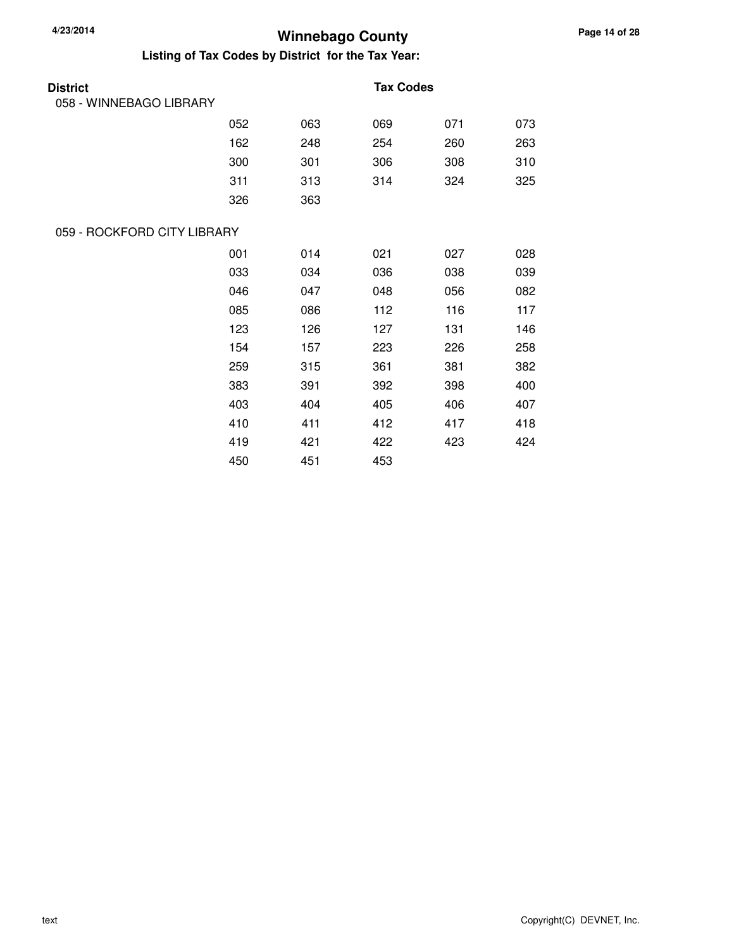| <b>District</b>             |     |     | <b>Tax Codes</b> |     |     |
|-----------------------------|-----|-----|------------------|-----|-----|
| 058 - WINNEBAGO LIBRARY     |     |     |                  |     |     |
|                             | 052 | 063 | 069              | 071 | 073 |
|                             | 162 | 248 | 254              | 260 | 263 |
|                             | 300 | 301 | 306              | 308 | 310 |
|                             | 311 | 313 | 314              | 324 | 325 |
|                             | 326 | 363 |                  |     |     |
| 059 - ROCKFORD CITY LIBRARY |     |     |                  |     |     |
|                             | 001 | 014 | 021              | 027 | 028 |
|                             | 033 | 034 | 036              | 038 | 039 |
|                             | 046 | 047 | 048              | 056 | 082 |
|                             | 085 | 086 | 112              | 116 | 117 |
|                             | 123 | 126 | 127              | 131 | 146 |
|                             | 154 | 157 | 223              | 226 | 258 |
|                             | 259 | 315 | 361              | 381 | 382 |
|                             | 383 | 391 | 392              | 398 | 400 |
|                             | 403 | 404 | 405              | 406 | 407 |
|                             | 410 | 411 | 412              | 417 | 418 |
|                             | 419 | 421 | 422              | 423 | 424 |
|                             | 450 | 451 | 453              |     |     |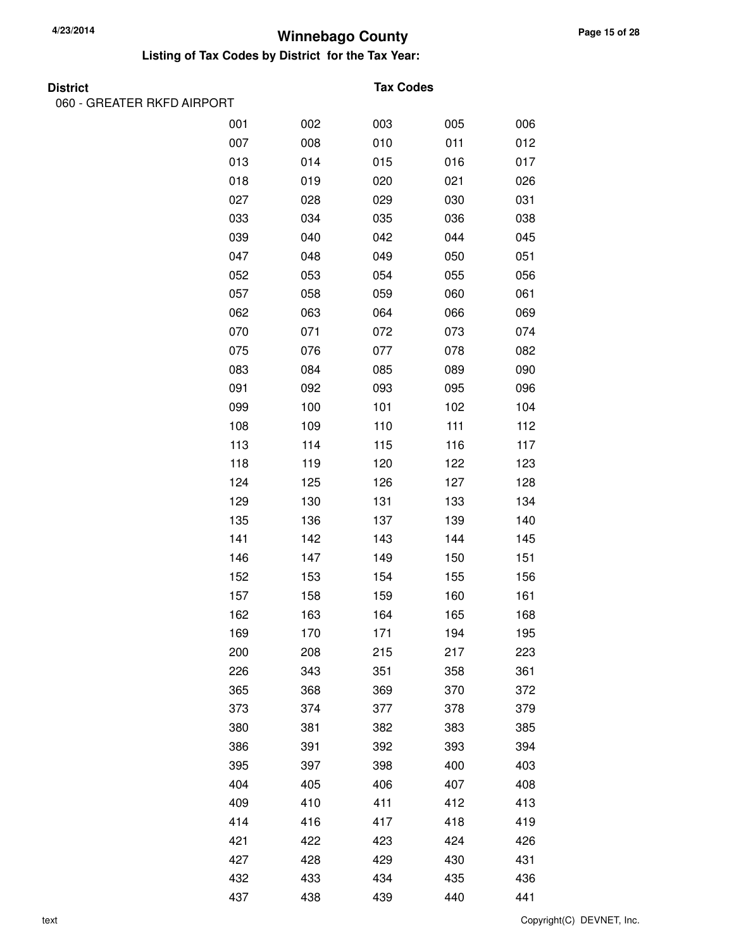#### **Listing of Tax Codes by District for the Tax Year:**

| Distric |  |
|---------|--|
|         |  |

060 - GREATER RKFD AIRPORT

#### **Tax Codes**

| 001 | 002 | 003 | 005 | 006 |
|-----|-----|-----|-----|-----|
| 007 | 008 | 010 | 011 | 012 |
| 013 | 014 | 015 | 016 | 017 |
| 018 | 019 | 020 | 021 | 026 |
| 027 | 028 | 029 | 030 | 031 |
| 033 | 034 | 035 | 036 | 038 |
| 039 | 040 | 042 | 044 | 045 |
| 047 | 048 | 049 | 050 | 051 |
| 052 | 053 | 054 | 055 | 056 |
| 057 | 058 | 059 | 060 | 061 |
| 062 | 063 | 064 | 066 | 069 |
| 070 | 071 | 072 | 073 | 074 |
| 075 | 076 | 077 | 078 | 082 |
| 083 | 084 | 085 | 089 | 090 |
| 091 | 092 | 093 | 095 | 096 |
| 099 | 100 | 101 | 102 | 104 |
| 108 | 109 | 110 | 111 | 112 |
| 113 | 114 | 115 | 116 | 117 |
| 118 | 119 | 120 | 122 | 123 |
| 124 | 125 | 126 | 127 | 128 |
| 129 | 130 | 131 | 133 | 134 |
| 135 | 136 | 137 | 139 | 140 |
| 141 | 142 | 143 | 144 | 145 |
| 146 | 147 | 149 | 150 | 151 |
| 152 | 153 | 154 | 155 | 156 |
| 157 | 158 | 159 | 160 | 161 |
| 162 | 163 | 164 | 165 | 168 |
| 169 | 170 | 171 | 194 | 195 |
| 200 | 208 | 215 | 217 | 223 |
| 226 | 343 | 351 | 358 | 361 |
| 365 | 368 | 369 | 370 | 372 |
| 373 | 374 | 377 | 378 | 379 |
| 380 | 381 | 382 | 383 | 385 |
| 386 | 391 | 392 | 393 | 394 |
| 395 | 397 | 398 | 400 | 403 |
| 404 | 405 | 406 | 407 | 408 |
| 409 | 410 | 411 | 412 | 413 |
| 414 | 416 | 417 | 418 | 419 |
| 421 | 422 | 423 | 424 | 426 |
| 427 | 428 | 429 | 430 | 431 |
| 432 | 433 | 434 | 435 | 436 |
| 437 | 438 | 439 | 440 | 441 |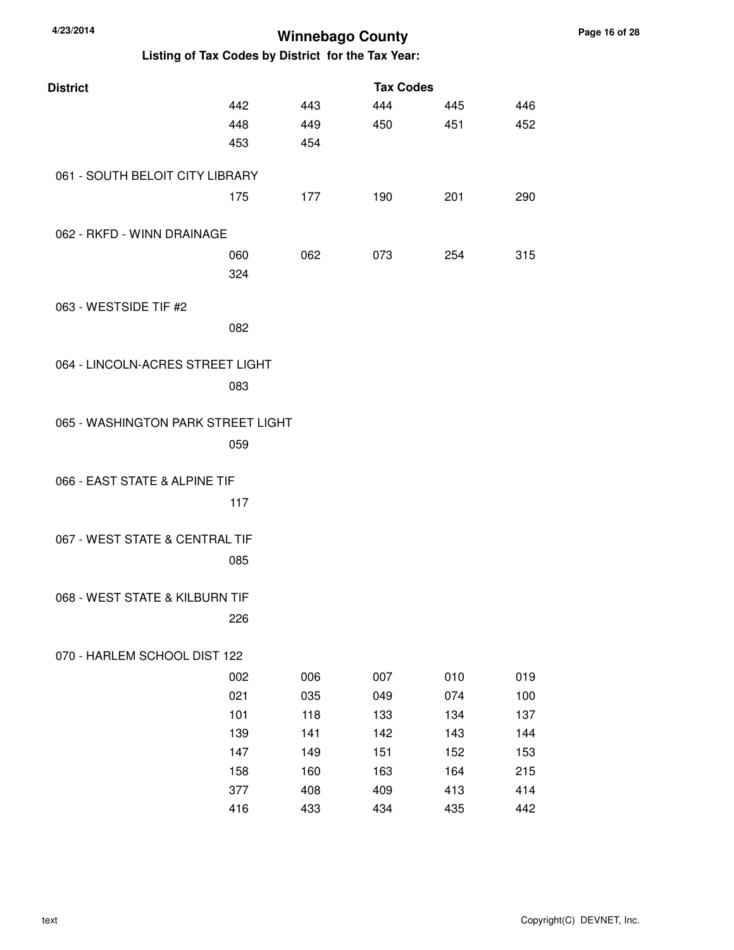| 4/23/2014<br><b>Winnebago County</b>               |     |     |     |     |     |  |  |  |
|----------------------------------------------------|-----|-----|-----|-----|-----|--|--|--|
| Listing of Tax Codes by District for the Tax Year: |     |     |     |     |     |  |  |  |
| <b>Tax Codes</b><br><b>District</b>                |     |     |     |     |     |  |  |  |
|                                                    | 442 | 443 | 444 | 445 | 446 |  |  |  |
|                                                    | 448 | 449 | 450 | 451 | 452 |  |  |  |
|                                                    | 453 | 454 |     |     |     |  |  |  |
| 061 - SOUTH BELOIT CITY LIBRARY                    |     |     |     |     |     |  |  |  |
|                                                    | 175 | 177 | 190 | 201 | 290 |  |  |  |
| 062 - RKFD - WINN DRAINAGE                         |     |     |     |     |     |  |  |  |
|                                                    | 060 | 062 | 073 | 254 | 315 |  |  |  |
|                                                    | 324 |     |     |     |     |  |  |  |
| 063 - WESTSIDE TIF #2                              |     |     |     |     |     |  |  |  |
|                                                    | 082 |     |     |     |     |  |  |  |
| 064 - LINCOLN-ACRES STREET LIGHT                   |     |     |     |     |     |  |  |  |
|                                                    | 083 |     |     |     |     |  |  |  |
|                                                    |     |     |     |     |     |  |  |  |
| 065 - WASHINGTON PARK STREET LIGHT                 |     |     |     |     |     |  |  |  |
|                                                    | 059 |     |     |     |     |  |  |  |
| 066 - EAST STATE & ALPINE TIF                      |     |     |     |     |     |  |  |  |
|                                                    | 117 |     |     |     |     |  |  |  |
| 067 - WEST STATE & CENTRAL TIF                     |     |     |     |     |     |  |  |  |
|                                                    | 085 |     |     |     |     |  |  |  |
|                                                    |     |     |     |     |     |  |  |  |
| 068 - WEST STATE & KILBURN TIF                     |     |     |     |     |     |  |  |  |
|                                                    | 226 |     |     |     |     |  |  |  |
| 070 - HARLEM SCHOOL DIST 122                       |     |     |     |     |     |  |  |  |
|                                                    | 002 | 006 | 007 | 010 | 019 |  |  |  |
|                                                    | 021 | 035 | 049 | 074 | 100 |  |  |  |
|                                                    | 101 | 118 | 133 | 134 | 137 |  |  |  |
|                                                    | 139 | 141 | 142 | 143 | 144 |  |  |  |
|                                                    | 147 | 149 | 151 | 152 | 153 |  |  |  |
|                                                    | 158 | 160 | 163 | 164 | 215 |  |  |  |
|                                                    | 377 | 408 | 409 | 413 | 414 |  |  |  |
|                                                    | 416 | 433 | 434 | 435 | 442 |  |  |  |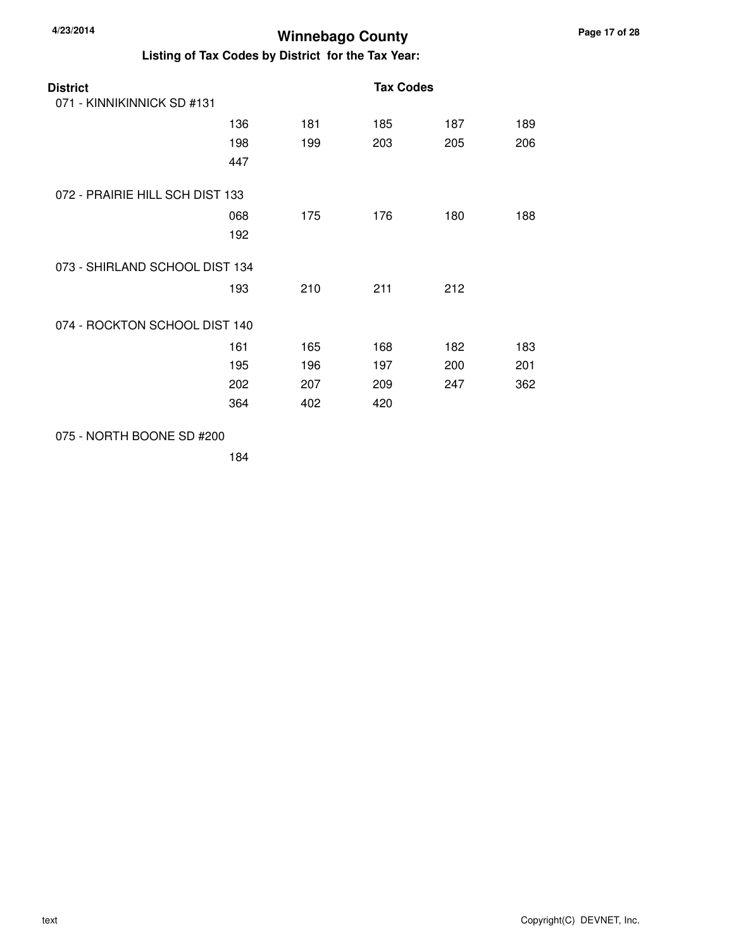**Listing of Tax Codes by District for the Tax Year:**

| <b>District</b><br>071 - KINNIKINNICK SD #131 |     |     | <b>Tax Codes</b> |     |     |
|-----------------------------------------------|-----|-----|------------------|-----|-----|
|                                               | 136 | 181 | 185              | 187 | 189 |
|                                               | 198 | 199 | 203              | 205 | 206 |
|                                               | 447 |     |                  |     |     |
| 072 - PRAIRIE HILL SCH DIST 133               |     |     |                  |     |     |
|                                               | 068 | 175 | 176              | 180 | 188 |
|                                               | 192 |     |                  |     |     |
| 073 - SHIRLAND SCHOOL DIST 134                |     |     |                  |     |     |
|                                               | 193 | 210 | 211              | 212 |     |
| 074 - ROCKTON SCHOOL DIST 140                 |     |     |                  |     |     |
|                                               | 161 | 165 | 168              | 182 | 183 |
|                                               | 195 | 196 | 197              | 200 | 201 |
|                                               | 202 | 207 | 209              | 247 | 362 |
|                                               | 364 | 402 | 420              |     |     |
|                                               |     |     |                  |     |     |

075 - NORTH BOONE SD #200

184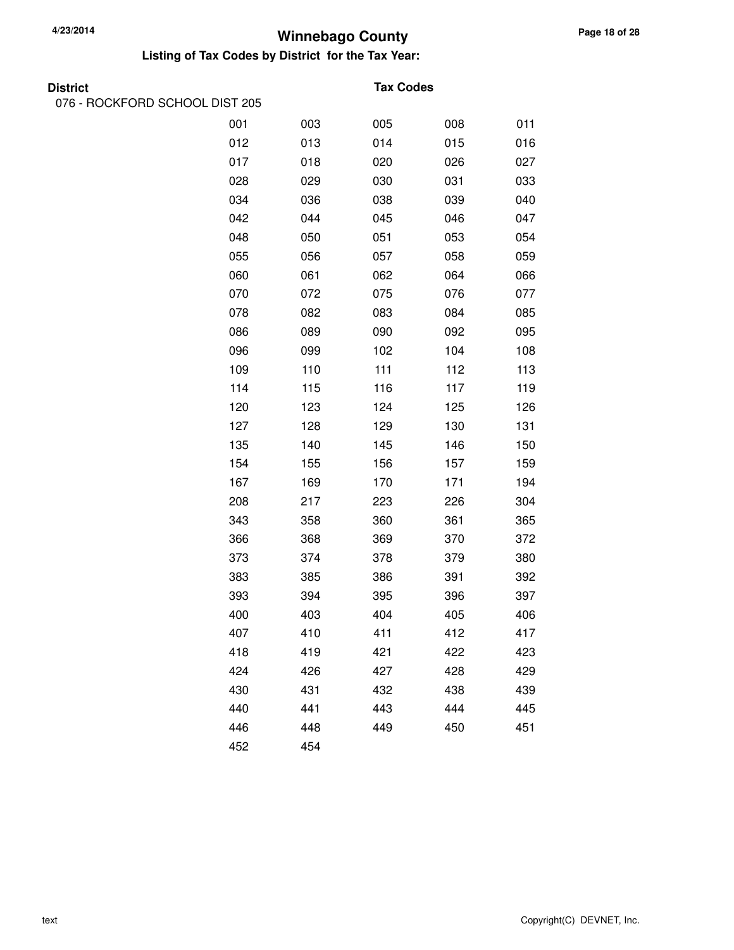#### **Listing of Tax Codes by District for the Tax Year:**

076 - ROCKFORD SCHOOL DIST 205

#### **Tax Codes**

| 001 | 003 | 005 | 008 | 011 |
|-----|-----|-----|-----|-----|
| 012 | 013 | 014 | 015 | 016 |
| 017 | 018 | 020 | 026 | 027 |
| 028 | 029 | 030 | 031 | 033 |
| 034 | 036 | 038 | 039 | 040 |
| 042 | 044 | 045 | 046 | 047 |
| 048 | 050 | 051 | 053 | 054 |
| 055 | 056 | 057 | 058 | 059 |
| 060 | 061 | 062 | 064 | 066 |
| 070 | 072 | 075 | 076 | 077 |
| 078 | 082 | 083 | 084 | 085 |
| 086 | 089 | 090 | 092 | 095 |
| 096 | 099 | 102 | 104 | 108 |
| 109 | 110 | 111 | 112 | 113 |
| 114 | 115 | 116 | 117 | 119 |
| 120 | 123 | 124 | 125 | 126 |
| 127 | 128 | 129 | 130 | 131 |
| 135 | 140 | 145 | 146 | 150 |
| 154 | 155 | 156 | 157 | 159 |
| 167 | 169 | 170 | 171 | 194 |
| 208 | 217 | 223 | 226 | 304 |
| 343 | 358 | 360 | 361 | 365 |
| 366 | 368 | 369 | 370 | 372 |
| 373 | 374 | 378 | 379 | 380 |
| 383 | 385 | 386 | 391 | 392 |
| 393 | 394 | 395 | 396 | 397 |
| 400 | 403 | 404 | 405 | 406 |
| 407 | 410 | 411 | 412 | 417 |
| 418 | 419 | 421 | 422 | 423 |
| 424 | 426 | 427 | 428 | 429 |
| 430 | 431 | 432 | 438 | 439 |
| 440 | 441 | 443 | 444 | 445 |
| 446 | 448 | 449 | 450 | 451 |
| 452 | 454 |     |     |     |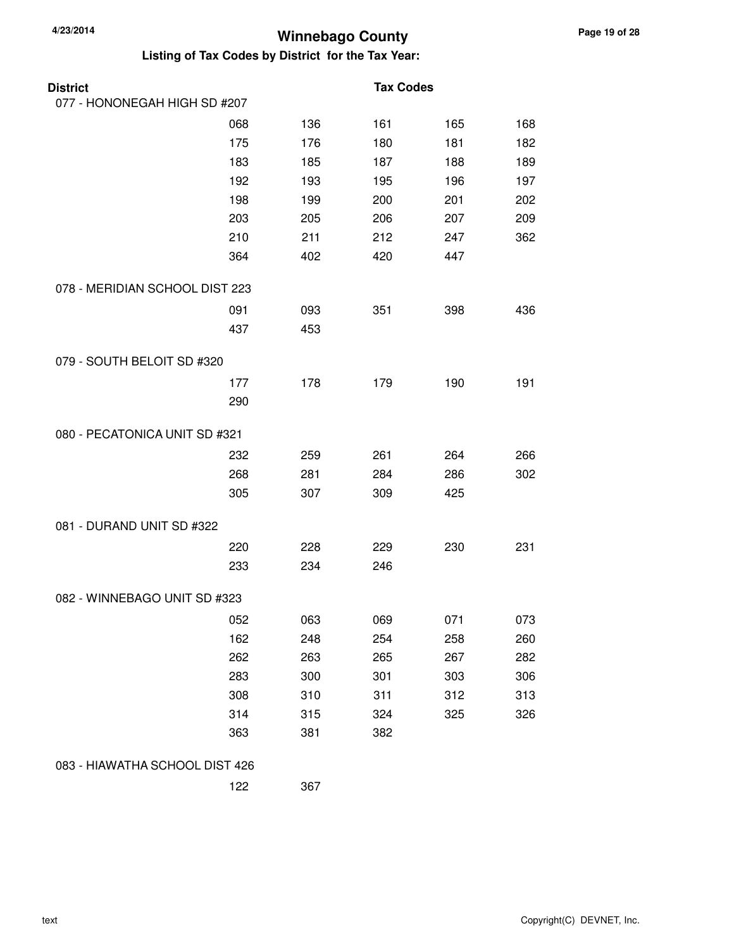| <b>District</b>                |     |     | <b>Tax Codes</b> |     |     |
|--------------------------------|-----|-----|------------------|-----|-----|
| 077 - HONONEGAH HIGH SD #207   |     |     |                  |     |     |
|                                | 068 | 136 | 161              | 165 | 168 |
|                                | 175 | 176 | 180              | 181 | 182 |
|                                | 183 | 185 | 187              | 188 | 189 |
|                                | 192 | 193 | 195              | 196 | 197 |
|                                | 198 | 199 | 200              | 201 | 202 |
|                                | 203 | 205 | 206              | 207 | 209 |
|                                | 210 | 211 | 212              | 247 | 362 |
|                                | 364 | 402 | 420              | 447 |     |
| 078 - MERIDIAN SCHOOL DIST 223 |     |     |                  |     |     |
|                                | 091 | 093 | 351              | 398 | 436 |
|                                | 437 | 453 |                  |     |     |
| 079 - SOUTH BELOIT SD #320     |     |     |                  |     |     |
|                                | 177 | 178 | 179              | 190 | 191 |
|                                | 290 |     |                  |     |     |
| 080 - PECATONICA UNIT SD #321  |     |     |                  |     |     |
|                                | 232 | 259 | 261              | 264 | 266 |
|                                | 268 | 281 | 284              | 286 | 302 |
|                                | 305 | 307 | 309              | 425 |     |
| 081 - DURAND UNIT SD #322      |     |     |                  |     |     |
|                                | 220 | 228 | 229              | 230 | 231 |
|                                | 233 | 234 | 246              |     |     |
| 082 - WINNEBAGO UNIT SD #323   |     |     |                  |     |     |
|                                | 052 | 063 | 069              | 071 | 073 |
|                                | 162 | 248 | 254              | 258 | 260 |
|                                | 262 | 263 | 265              | 267 | 282 |
|                                | 283 | 300 | 301              | 303 | 306 |
|                                | 308 | 310 | 311              | 312 | 313 |
|                                | 314 | 315 | 324              | 325 | 326 |
|                                | 363 | 381 | 382              |     |     |
| 083 - HIAWATHA SCHOOL DIST 426 |     |     |                  |     |     |
|                                | 122 | 367 |                  |     |     |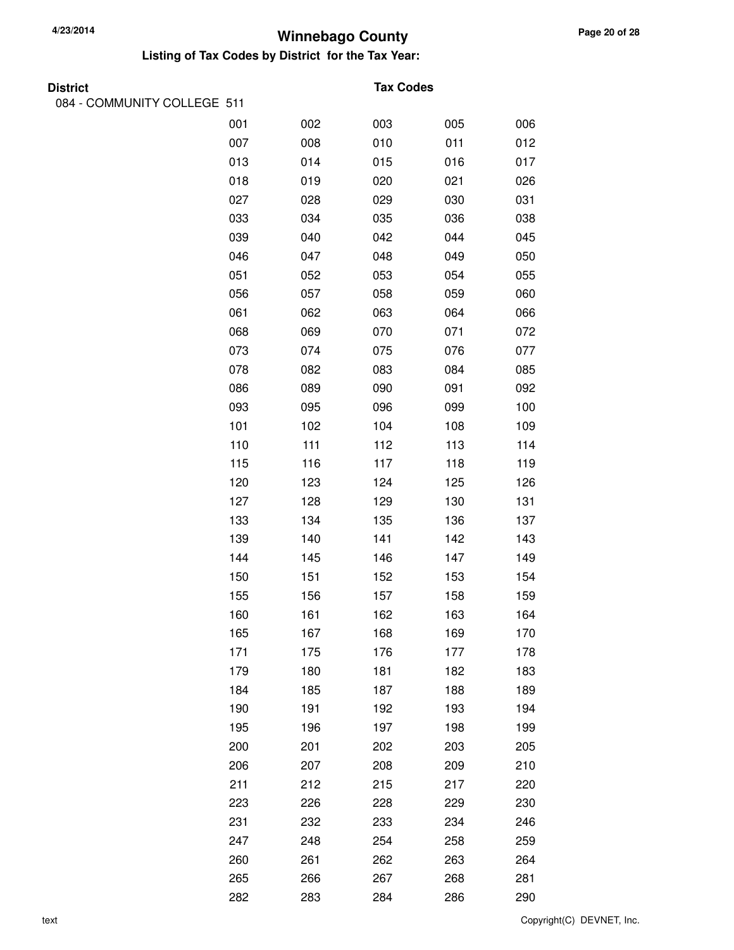| <b>District</b>             |     |     | <b>Tax Codes</b> |     |     |
|-----------------------------|-----|-----|------------------|-----|-----|
| 084 - COMMUNITY COLLEGE 511 |     |     |                  |     |     |
|                             | 001 | 002 | 003              | 005 | 006 |
|                             | 007 | 008 | 010              | 011 | 012 |
|                             | 013 | 014 | 015              | 016 | 017 |
|                             | 018 | 019 | 020              | 021 | 026 |
|                             | 027 | 028 | 029              | 030 | 031 |
|                             | 033 | 034 | 035              | 036 | 038 |
|                             | 039 | 040 | 042              | 044 | 045 |
|                             | 046 | 047 | 048              | 049 | 050 |
|                             | 051 | 052 | 053              | 054 | 055 |
|                             | 056 | 057 | 058              | 059 | 060 |
|                             | 061 | 062 | 063              | 064 | 066 |
|                             | 068 | 069 | 070              | 071 | 072 |
|                             | 073 | 074 | 075              | 076 | 077 |
|                             | 078 | 082 | 083              | 084 | 085 |
|                             | 086 | 089 | 090              | 091 | 092 |
|                             | 093 | 095 | 096              | 099 | 100 |
|                             | 101 | 102 | 104              | 108 | 109 |
|                             | 110 | 111 | 112              | 113 | 114 |
|                             | 115 | 116 | 117              | 118 | 119 |
|                             | 120 | 123 | 124              | 125 | 126 |
|                             | 127 | 128 | 129              | 130 | 131 |
|                             | 133 | 134 | 135              | 136 | 137 |
|                             | 139 | 140 | 141              | 142 | 143 |
|                             | 144 | 145 | 146              | 147 | 149 |
|                             | 150 | 151 | 152              | 153 | 154 |
|                             | 155 | 156 | 157              | 158 | 159 |
|                             | 160 | 161 | 162              | 163 | 164 |
|                             | 165 | 167 | 168              | 169 | 170 |
|                             | 171 | 175 | 176              | 177 | 178 |
|                             | 179 | 180 | 181              | 182 | 183 |
|                             | 184 | 185 | 187              | 188 | 189 |
|                             | 190 | 191 | 192              | 193 | 194 |
|                             | 195 | 196 | 197              | 198 | 199 |
|                             | 200 | 201 | 202              | 203 | 205 |
|                             | 206 | 207 | 208              | 209 | 210 |
|                             | 211 | 212 | 215              | 217 | 220 |
|                             | 223 | 226 | 228              | 229 | 230 |
|                             | 231 | 232 | 233              | 234 | 246 |
|                             | 247 | 248 | 254              | 258 | 259 |
|                             | 260 | 261 | 262              | 263 | 264 |
|                             | 265 | 266 | 267              | 268 | 281 |
|                             | 282 | 283 | 284              | 286 | 290 |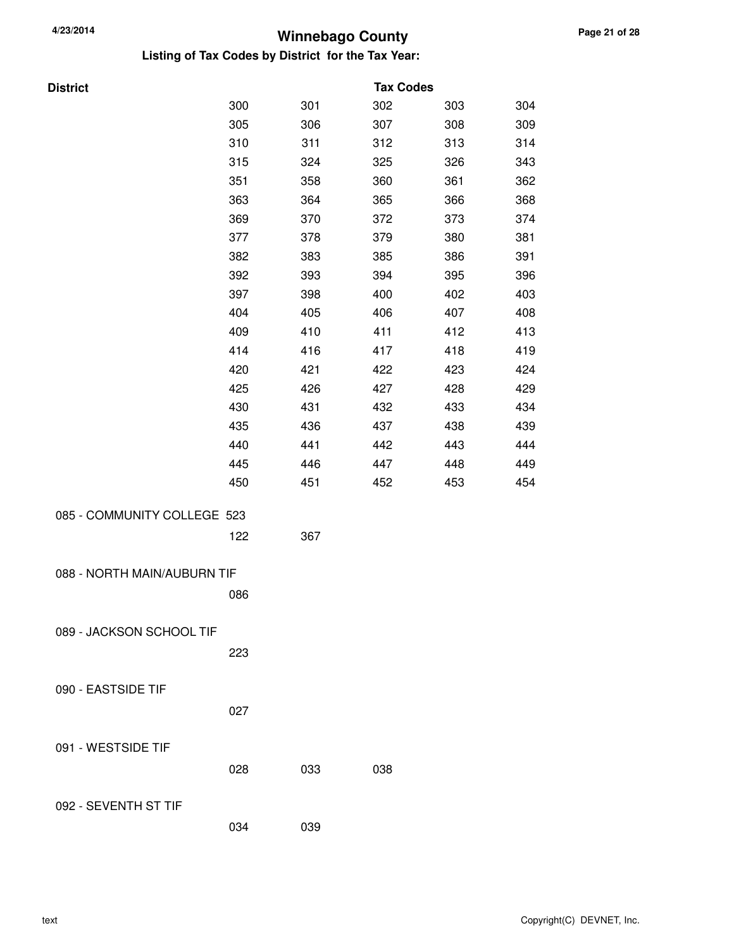| <b>District</b>             |     |     | <b>Tax Codes</b> |     |     |
|-----------------------------|-----|-----|------------------|-----|-----|
|                             | 300 | 301 | 302              | 303 | 304 |
|                             | 305 | 306 | 307              | 308 | 309 |
|                             | 310 | 311 | 312              | 313 | 314 |
|                             | 315 | 324 | 325              | 326 | 343 |
|                             | 351 | 358 | 360              | 361 | 362 |
|                             | 363 | 364 | 365              | 366 | 368 |
|                             | 369 | 370 | 372              | 373 | 374 |
|                             | 377 | 378 | 379              | 380 | 381 |
|                             | 382 | 383 | 385              | 386 | 391 |
|                             | 392 | 393 | 394              | 395 | 396 |
|                             | 397 | 398 | 400              | 402 | 403 |
|                             | 404 | 405 | 406              | 407 | 408 |
|                             | 409 | 410 | 411              | 412 | 413 |
|                             | 414 | 416 | 417              | 418 | 419 |
|                             | 420 | 421 | 422              | 423 | 424 |
|                             | 425 | 426 | 427              | 428 | 429 |
|                             | 430 | 431 | 432              | 433 | 434 |
|                             | 435 | 436 | 437              | 438 | 439 |
|                             | 440 | 441 | 442              | 443 | 444 |
|                             | 445 | 446 | 447              | 448 | 449 |
|                             | 450 | 451 | 452              | 453 | 454 |
| 085 - COMMUNITY COLLEGE 523 |     |     |                  |     |     |
|                             | 122 | 367 |                  |     |     |
|                             |     |     |                  |     |     |
| 088 - NORTH MAIN/AUBURN TIF |     |     |                  |     |     |
|                             | 086 |     |                  |     |     |
| 089 - JACKSON SCHOOL TIF    |     |     |                  |     |     |
|                             | 223 |     |                  |     |     |
|                             |     |     |                  |     |     |
| 090 - EASTSIDE TIF          |     |     |                  |     |     |
|                             | 027 |     |                  |     |     |
|                             |     |     |                  |     |     |
| 091 - WESTSIDE TIF          |     |     |                  |     |     |
|                             | 028 | 033 | 038              |     |     |
|                             |     |     |                  |     |     |
| 092 - SEVENTH ST TIF        |     |     |                  |     |     |
|                             | 034 | 039 |                  |     |     |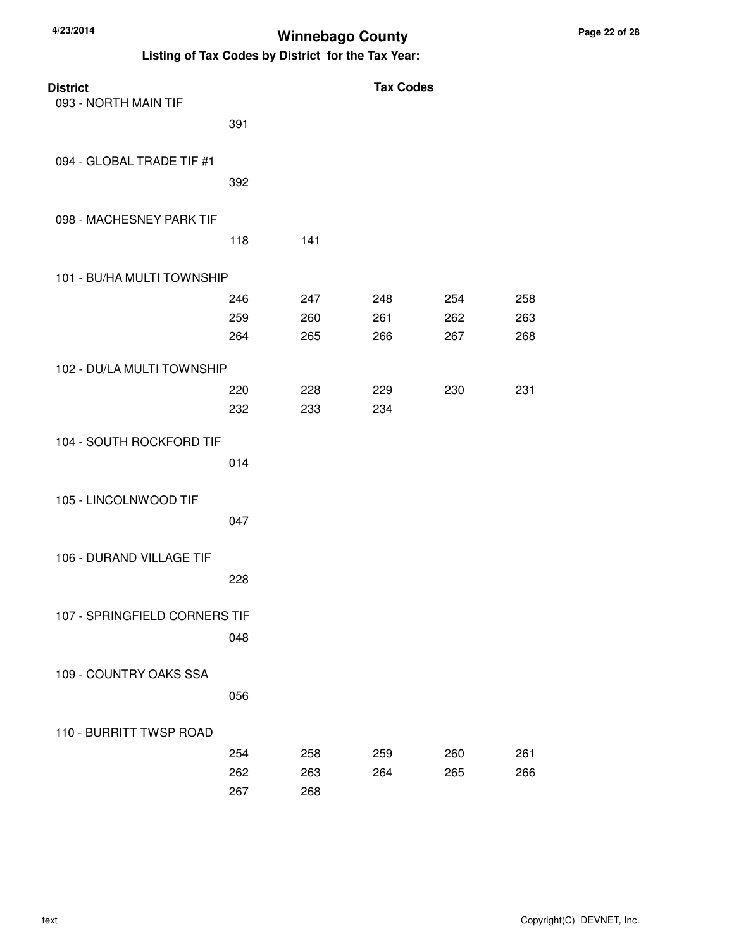| <b>District</b>               |     |     | <b>Tax Codes</b> |     |     |
|-------------------------------|-----|-----|------------------|-----|-----|
| 093 - NORTH MAIN TIF          |     |     |                  |     |     |
|                               | 391 |     |                  |     |     |
| 094 - GLOBAL TRADE TIF #1     |     |     |                  |     |     |
|                               | 392 |     |                  |     |     |
| 098 - MACHESNEY PARK TIF      |     |     |                  |     |     |
|                               | 118 | 141 |                  |     |     |
| 101 - BU/HA MULTI TOWNSHIP    |     |     |                  |     |     |
|                               | 246 | 247 | 248              | 254 | 258 |
|                               | 259 | 260 | 261              | 262 | 263 |
|                               | 264 | 265 | 266              | 267 | 268 |
| 102 - DU/LA MULTI TOWNSHIP    |     |     |                  |     |     |
|                               | 220 | 228 | 229              | 230 | 231 |
|                               | 232 | 233 | 234              |     |     |
| 104 - SOUTH ROCKFORD TIF      |     |     |                  |     |     |
|                               | 014 |     |                  |     |     |
| 105 - LINCOLNWOOD TIF         |     |     |                  |     |     |
|                               | 047 |     |                  |     |     |
| 106 - DURAND VILLAGE TIF      |     |     |                  |     |     |
|                               | 228 |     |                  |     |     |
|                               |     |     |                  |     |     |
| 107 - SPRINGFIELD CORNERS TIF |     |     |                  |     |     |
|                               | 048 |     |                  |     |     |
| 109 - COUNTRY OAKS SSA        |     |     |                  |     |     |
|                               | 056 |     |                  |     |     |
| 110 - BURRITT TWSP ROAD       |     |     |                  |     |     |
|                               | 254 | 258 | 259              | 260 | 261 |
|                               | 262 | 263 | 264              | 265 | 266 |
|                               | 267 | 268 |                  |     |     |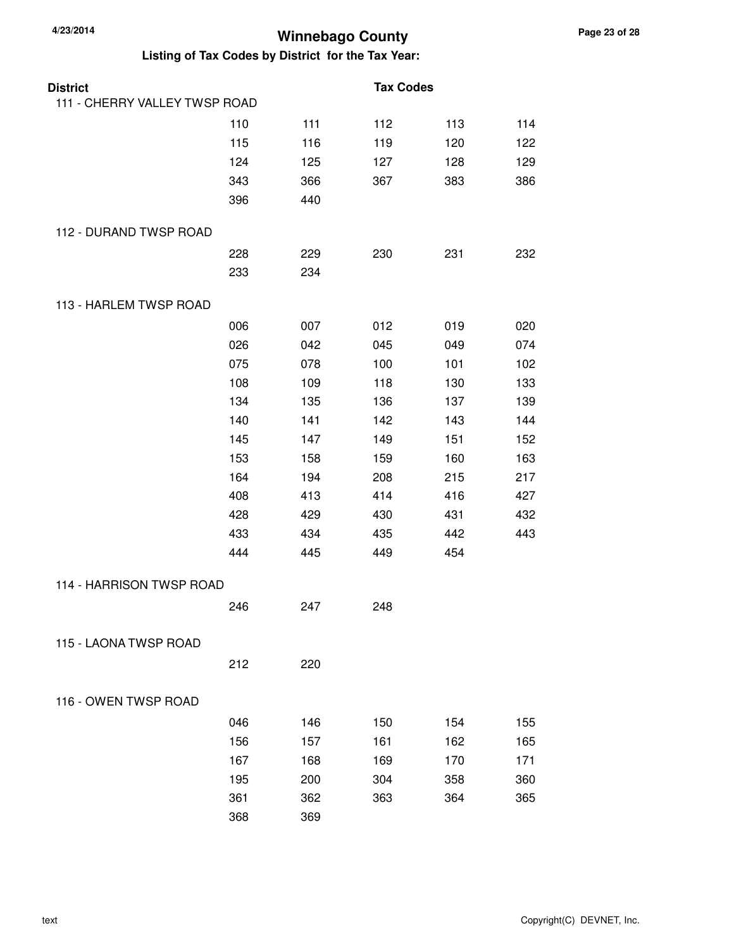| <b>District</b>               |     |     | <b>Tax Codes</b> |     |     |
|-------------------------------|-----|-----|------------------|-----|-----|
| 111 - CHERRY VALLEY TWSP ROAD |     |     |                  |     |     |
|                               | 110 | 111 | 112              | 113 | 114 |
|                               | 115 | 116 | 119              | 120 | 122 |
|                               | 124 | 125 | 127              | 128 | 129 |
|                               | 343 | 366 | 367              | 383 | 386 |
|                               | 396 | 440 |                  |     |     |
| 112 - DURAND TWSP ROAD        |     |     |                  |     |     |
|                               | 228 | 229 | 230              | 231 | 232 |
|                               | 233 | 234 |                  |     |     |
| 113 - HARLEM TWSP ROAD        |     |     |                  |     |     |
|                               | 006 | 007 | 012              | 019 | 020 |
|                               | 026 | 042 | 045              | 049 | 074 |
|                               | 075 | 078 | 100              | 101 | 102 |
|                               | 108 | 109 | 118              | 130 | 133 |
|                               | 134 | 135 | 136              | 137 | 139 |
|                               | 140 | 141 | 142              | 143 | 144 |
|                               | 145 | 147 | 149              | 151 | 152 |
|                               | 153 | 158 | 159              | 160 | 163 |
|                               | 164 | 194 | 208              | 215 | 217 |
|                               | 408 | 413 | 414              | 416 | 427 |
|                               | 428 | 429 | 430              | 431 | 432 |
|                               | 433 | 434 | 435              | 442 | 443 |
|                               | 444 | 445 | 449              | 454 |     |
| 114 - HARRISON TWSP ROAD      |     |     |                  |     |     |
|                               | 246 | 247 | 248              |     |     |
| 115 - LAONA TWSP ROAD         |     |     |                  |     |     |
|                               | 212 | 220 |                  |     |     |
| 116 - OWEN TWSP ROAD          |     |     |                  |     |     |
|                               | 046 | 146 | 150              | 154 | 155 |
|                               | 156 | 157 | 161              | 162 | 165 |
|                               | 167 | 168 | 169              | 170 | 171 |
|                               | 195 | 200 | 304              | 358 | 360 |
|                               | 361 | 362 | 363              | 364 | 365 |
|                               | 368 | 369 |                  |     |     |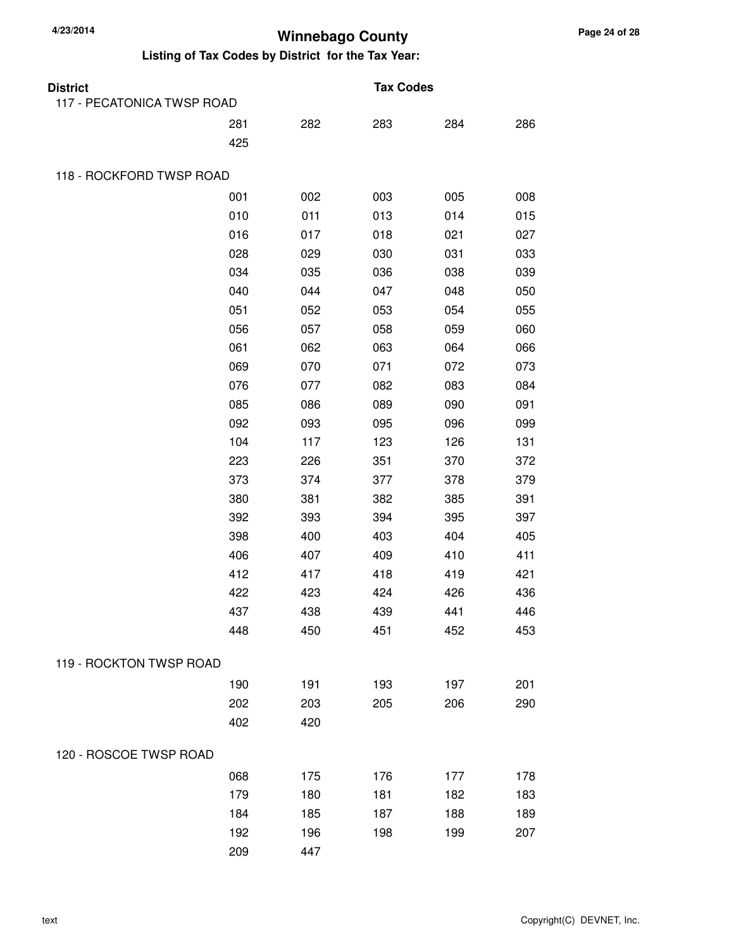| <b>District</b>            |     |     | <b>Tax Codes</b> |     |     |
|----------------------------|-----|-----|------------------|-----|-----|
| 117 - PECATONICA TWSP ROAD |     |     |                  |     |     |
|                            | 281 | 282 | 283              | 284 | 286 |
|                            | 425 |     |                  |     |     |
| 118 - ROCKFORD TWSP ROAD   |     |     |                  |     |     |
|                            | 001 | 002 | 003              | 005 | 008 |
|                            | 010 | 011 | 013              | 014 | 015 |
|                            | 016 | 017 | 018              | 021 | 027 |
|                            | 028 | 029 | 030              | 031 | 033 |
|                            | 034 | 035 | 036              | 038 | 039 |
|                            | 040 | 044 | 047              | 048 | 050 |
|                            | 051 | 052 | 053              | 054 | 055 |
|                            | 056 | 057 | 058              | 059 | 060 |
|                            | 061 | 062 | 063              | 064 | 066 |
|                            | 069 | 070 | 071              | 072 | 073 |
|                            | 076 | 077 | 082              | 083 | 084 |
|                            | 085 | 086 | 089              | 090 | 091 |
|                            | 092 | 093 | 095              | 096 | 099 |
|                            | 104 | 117 | 123              | 126 | 131 |
|                            | 223 | 226 | 351              | 370 | 372 |
|                            | 373 | 374 | 377              | 378 | 379 |
|                            | 380 | 381 | 382              | 385 | 391 |
|                            | 392 | 393 | 394              | 395 | 397 |
|                            | 398 | 400 | 403              | 404 | 405 |
|                            | 406 | 407 | 409              | 410 | 411 |
|                            | 412 | 417 | 418              | 419 | 421 |
|                            | 422 | 423 | 424              | 426 | 436 |
|                            | 437 | 438 | 439              | 441 | 446 |
|                            | 448 | 450 | 451              | 452 | 453 |
| 119 - ROCKTON TWSP ROAD    |     |     |                  |     |     |
|                            | 190 | 191 | 193              | 197 | 201 |
|                            | 202 | 203 | 205              | 206 | 290 |
|                            | 402 | 420 |                  |     |     |
| 120 - ROSCOE TWSP ROAD     |     |     |                  |     |     |
|                            | 068 | 175 | 176              | 177 | 178 |
|                            | 179 | 180 | 181              | 182 | 183 |
|                            | 184 | 185 | 187              | 188 | 189 |
|                            | 192 | 196 | 198              | 199 | 207 |
|                            | 209 | 447 |                  |     |     |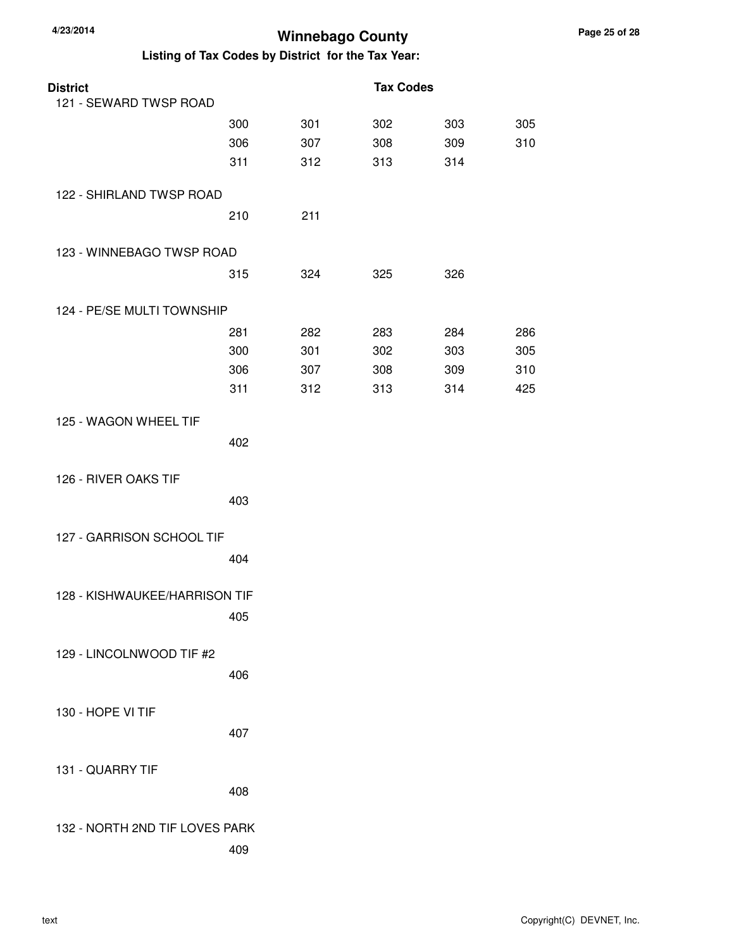| <b>District</b>                |     |     | <b>Tax Codes</b> |     |     |
|--------------------------------|-----|-----|------------------|-----|-----|
| 121 - SEWARD TWSP ROAD         |     |     |                  |     |     |
|                                | 300 | 301 | 302              | 303 | 305 |
|                                | 306 | 307 | 308              | 309 | 310 |
|                                | 311 | 312 | 313              | 314 |     |
| 122 - SHIRLAND TWSP ROAD       |     |     |                  |     |     |
|                                | 210 | 211 |                  |     |     |
| 123 - WINNEBAGO TWSP ROAD      |     |     |                  |     |     |
|                                | 315 | 324 | 325              | 326 |     |
| 124 - PE/SE MULTI TOWNSHIP     |     |     |                  |     |     |
|                                | 281 | 282 | 283              | 284 | 286 |
|                                | 300 | 301 | 302              | 303 | 305 |
|                                | 306 | 307 | 308              | 309 | 310 |
|                                | 311 | 312 | 313              | 314 | 425 |
| 125 - WAGON WHEEL TIF          |     |     |                  |     |     |
|                                | 402 |     |                  |     |     |
| 126 - RIVER OAKS TIF           |     |     |                  |     |     |
|                                | 403 |     |                  |     |     |
| 127 - GARRISON SCHOOL TIF      |     |     |                  |     |     |
|                                | 404 |     |                  |     |     |
| 128 - KISHWAUKEE/HARRISON TIF  |     |     |                  |     |     |
|                                | 405 |     |                  |     |     |
| 129 - LINCOLNWOOD TIF #2       |     |     |                  |     |     |
|                                | 406 |     |                  |     |     |
|                                |     |     |                  |     |     |
| 130 - HOPE VI TIF              | 407 |     |                  |     |     |
|                                |     |     |                  |     |     |
| 131 - QUARRY TIF               |     |     |                  |     |     |
|                                | 408 |     |                  |     |     |
| 132 - NORTH 2ND TIF LOVES PARK |     |     |                  |     |     |
|                                | 409 |     |                  |     |     |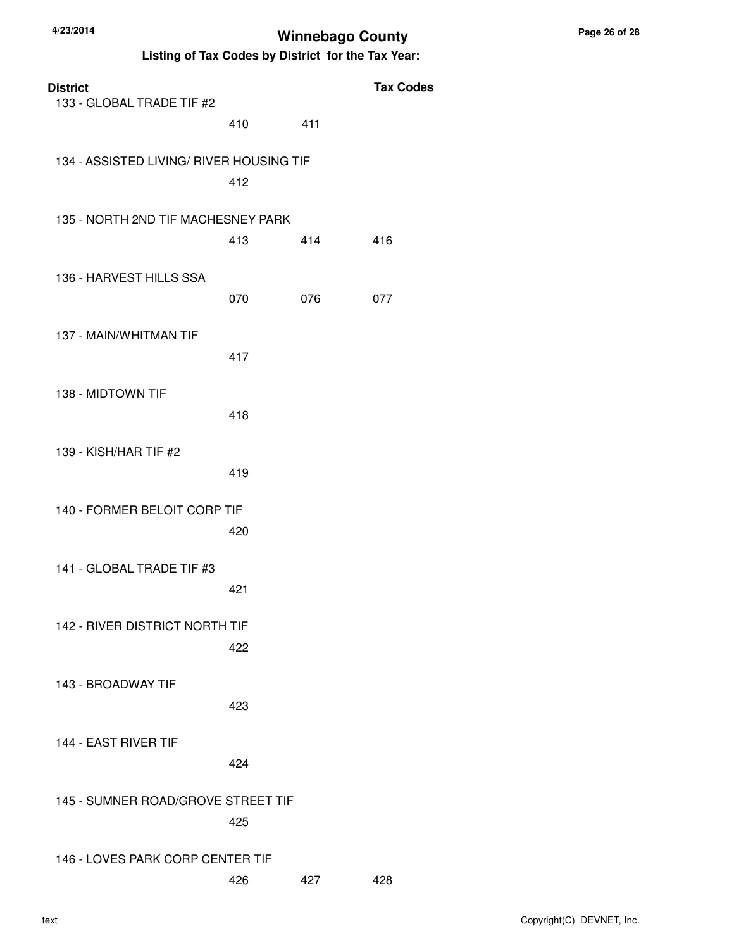| <b>District</b><br>133 - GLOBAL TRADE TIF #2 |     |     | <b>Tax Codes</b> |
|----------------------------------------------|-----|-----|------------------|
|                                              | 410 | 411 |                  |
| 134 - ASSISTED LIVING/ RIVER HOUSING TIF     | 412 |     |                  |
| 135 - NORTH 2ND TIF MACHESNEY PARK           | 413 | 414 | 416              |
| 136 - HARVEST HILLS SSA                      | 070 | 076 | 077              |
| 137 - MAIN/WHITMAN TIF                       | 417 |     |                  |
| 138 - MIDTOWN TIF                            | 418 |     |                  |
| 139 - KISH/HAR TIF #2                        | 419 |     |                  |
| 140 - FORMER BELOIT CORP TIF                 | 420 |     |                  |
| 141 - GLOBAL TRADE TIF #3                    | 421 |     |                  |
| 142 - RIVER DISTRICT NORTH TIF               | 422 |     |                  |
| 143 - BROADWAY TIF                           | 423 |     |                  |
| 144 - EAST RIVER TIF                         | 424 |     |                  |
| 145 - SUMNER ROAD/GROVE STREET TIF           | 425 |     |                  |
| 146 - LOVES PARK CORP CENTER TIF             | 426 | 427 | 428              |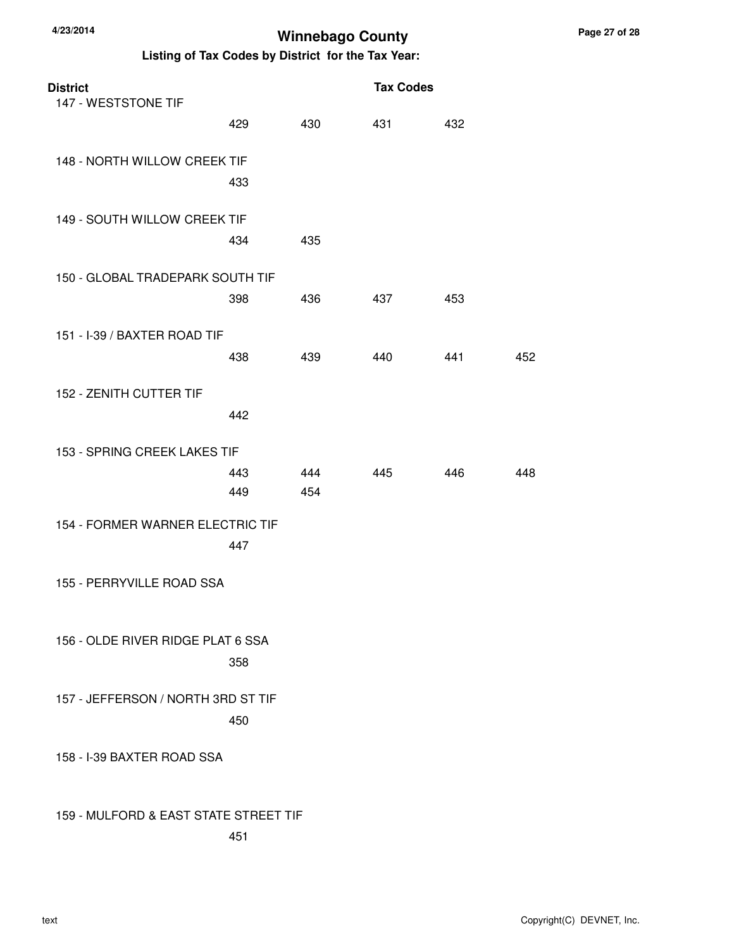| <b>District</b><br>147 - WESTSTONE TIF | <b>Tax Codes</b> |            |     |     |     |
|----------------------------------------|------------------|------------|-----|-----|-----|
|                                        | 429              | 430        | 431 | 432 |     |
| 148 - NORTH WILLOW CREEK TIF           | 433              |            |     |     |     |
| 149 - SOUTH WILLOW CREEK TIF           | 434              | 435        |     |     |     |
| 150 - GLOBAL TRADEPARK SOUTH TIF       | 398              | 436        | 437 | 453 |     |
| 151 - I-39 / BAXTER ROAD TIF           | 438              | 439        | 440 | 441 | 452 |
| 152 - ZENITH CUTTER TIF                | 442              |            |     |     |     |
| 153 - SPRING CREEK LAKES TIF           | 443<br>449       | 444<br>454 | 445 | 446 | 448 |
| 154 - FORMER WARNER ELECTRIC TIF       | 447              |            |     |     |     |
| 155 - PERRYVILLE ROAD SSA              |                  |            |     |     |     |
| 156 - OLDE RIVER RIDGE PLAT 6 SSA      | 358              |            |     |     |     |
| 157 - JEFFERSON / NORTH 3RD ST TIF     | 450              |            |     |     |     |
| 158 - I-39 BAXTER ROAD SSA             |                  |            |     |     |     |
| 159 - MULFORD & EAST STATE STREET TIF  | 451              |            |     |     |     |